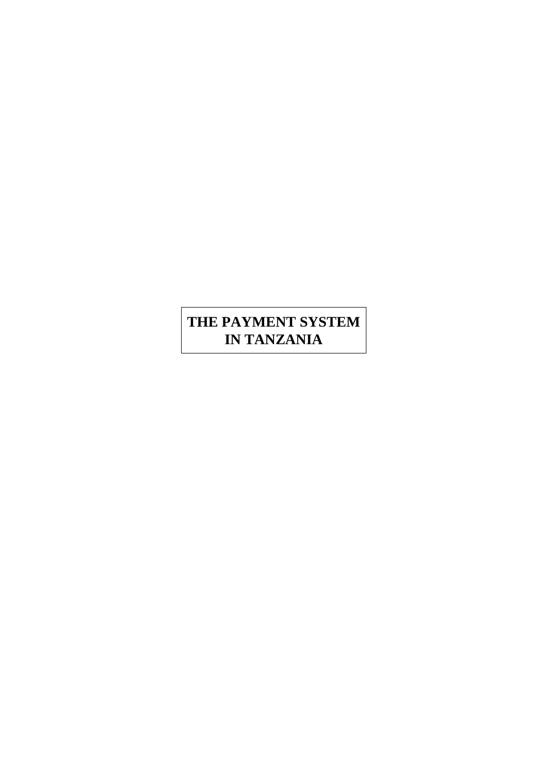# **THE PAYMENT SYSTEM IN TANZANIA**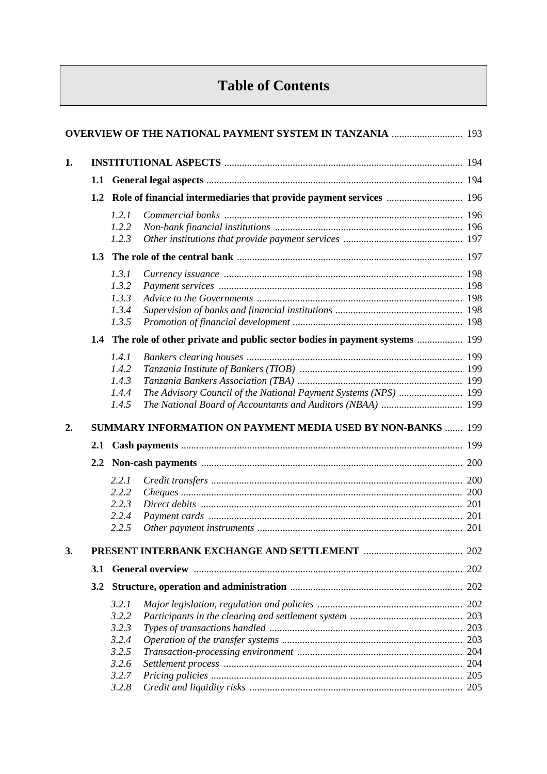# **Table of Contents**

|                  |               | <b>OVERVIEW OF THE NATIONAL PAYMENT SYSTEM IN TANZANIA </b> 193                |  |
|------------------|---------------|--------------------------------------------------------------------------------|--|
| 1.               |               |                                                                                |  |
|                  |               |                                                                                |  |
|                  | 1.2           |                                                                                |  |
|                  |               | 1.2.1                                                                          |  |
|                  |               | 1.2.2                                                                          |  |
|                  |               | 1.2.3                                                                          |  |
|                  | 1.3           |                                                                                |  |
|                  |               |                                                                                |  |
|                  |               | 1.3.1                                                                          |  |
|                  |               | 1.3.2                                                                          |  |
|                  |               | 1.3.3                                                                          |  |
|                  |               | 1.3.4                                                                          |  |
|                  |               | 1.3.5                                                                          |  |
|                  |               | 1.4 The role of other private and public sector bodies in payment systems  199 |  |
|                  |               | 1.4.1                                                                          |  |
|                  |               | 1.4.2                                                                          |  |
|                  |               | 1.4.3                                                                          |  |
|                  |               | The Advisory Council of the National Payment Systems (NPS)  199<br>1.4.4       |  |
|                  |               | The National Board of Accountants and Auditors (NBAA)  199<br>1.4.5            |  |
| $\overline{2}$ . |               | <b>SUMMARY INFORMATION ON PAYMENT MEDIA USED BY NON-BANKS  199</b>             |  |
|                  |               |                                                                                |  |
|                  | $2.2^{\circ}$ |                                                                                |  |
|                  |               | 2.2.1                                                                          |  |
|                  |               | 2.2.2                                                                          |  |
|                  |               | 2.2.3                                                                          |  |
|                  |               | 2.2.4                                                                          |  |
|                  |               | 2.2.5                                                                          |  |
|                  |               |                                                                                |  |
| 3.               |               |                                                                                |  |
|                  | 3.1           |                                                                                |  |
|                  |               |                                                                                |  |
|                  |               | 3.2.1                                                                          |  |
|                  |               | 3.2.2                                                                          |  |
|                  |               | 3.2.3                                                                          |  |
|                  |               | 3.2.4                                                                          |  |
|                  |               | 3.2.5                                                                          |  |
|                  |               | 3.2.6                                                                          |  |
|                  |               | 3.2.7                                                                          |  |
|                  |               | 3.2.8                                                                          |  |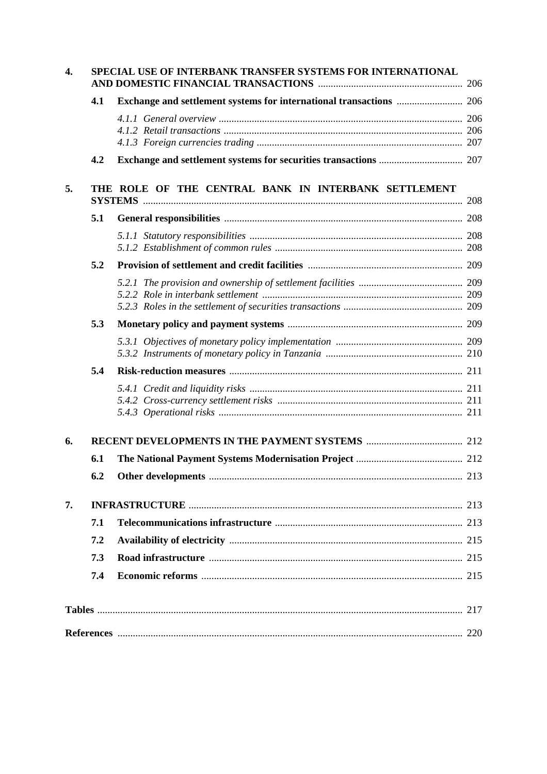| 4. |     | SPECIAL USE OF INTERBANK TRANSFER SYSTEMS FOR INTERNATIONAL |  |
|----|-----|-------------------------------------------------------------|--|
|    | 4.1 |                                                             |  |
|    |     |                                                             |  |
|    | 4.2 |                                                             |  |
| 5. |     | THE ROLE OF THE CENTRAL BANK IN INTERBANK SETTLEMENT        |  |
|    | 5.1 |                                                             |  |
|    |     |                                                             |  |
|    | 5.2 |                                                             |  |
|    |     |                                                             |  |
|    | 5.3 |                                                             |  |
|    |     |                                                             |  |
|    | 5.4 |                                                             |  |
|    |     |                                                             |  |
| 6. |     |                                                             |  |
|    | 6.1 |                                                             |  |
|    | 6.2 |                                                             |  |
| 7. |     |                                                             |  |
|    | 7.1 |                                                             |  |
|    | 7.2 |                                                             |  |
|    | 7.3 |                                                             |  |
|    | 7.4 |                                                             |  |
|    |     |                                                             |  |
|    |     |                                                             |  |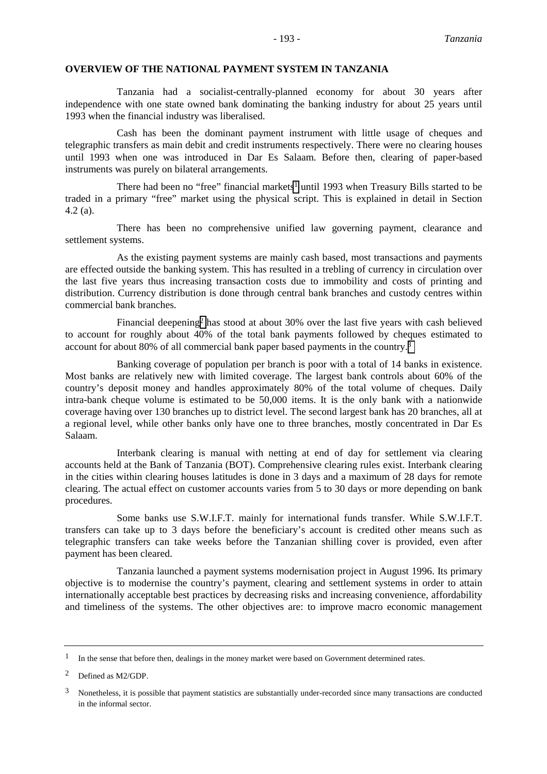#### **OVERVIEW OF THE NATIONAL PAYMENT SYSTEM IN TANZANIA**

Tanzania had a socialist-centrally-planned economy for about 30 years after independence with one state owned bank dominating the banking industry for about 25 years until 1993 when the financial industry was liberalised.

Cash has been the dominant payment instrument with little usage of cheques and telegraphic transfers as main debit and credit instruments respectively. There were no clearing houses until 1993 when one was introduced in Dar Es Salaam. Before then, clearing of paper-based instruments was purely on bilateral arrangements.

There had been no "free" financial markets<sup>1</sup> until 1993 when Treasury Bills started to be traded in a primary "free" market using the physical script. This is explained in detail in Section 4.2 (a).

There has been no comprehensive unified law governing payment, clearance and settlement systems.

As the existing payment systems are mainly cash based, most transactions and payments are effected outside the banking system. This has resulted in a trebling of currency in circulation over the last five years thus increasing transaction costs due to immobility and costs of printing and distribution. Currency distribution is done through central bank branches and custody centres within commercial bank branches.

Financial deepening2 has stood at about 30% over the last five years with cash believed to account for roughly about 40% of the total bank payments followed by cheques estimated to account for about 80% of all commercial bank paper based payments in the country.3

Banking coverage of population per branch is poor with a total of 14 banks in existence. Most banks are relatively new with limited coverage. The largest bank controls about 60% of the country's deposit money and handles approximately 80% of the total volume of cheques. Daily intra-bank cheque volume is estimated to be 50,000 items. It is the only bank with a nationwide coverage having over 130 branches up to district level. The second largest bank has 20 branches, all at a regional level, while other banks only have one to three branches, mostly concentrated in Dar Es Salaam.

Interbank clearing is manual with netting at end of day for settlement via clearing accounts held at the Bank of Tanzania (BOT). Comprehensive clearing rules exist. Interbank clearing in the cities within clearing houses latitudes is done in 3 days and a maximum of 28 days for remote clearing. The actual effect on customer accounts varies from 5 to 30 days or more depending on bank procedures.

Some banks use S.W.I.F.T. mainly for international funds transfer. While S.W.I.F.T. transfers can take up to 3 days before the beneficiary's account is credited other means such as telegraphic transfers can take weeks before the Tanzanian shilling cover is provided, even after payment has been cleared.

Tanzania launched a payment systems modernisation project in August 1996. Its primary objective is to modernise the country's payment, clearing and settlement systems in order to attain internationally acceptable best practices by decreasing risks and increasing convenience, affordability and timeliness of the systems. The other objectives are: to improve macro economic management

<sup>&</sup>lt;sup>1</sup> In the sense that before then, dealings in the money market were based on Government determined rates.

<sup>2</sup> Defined as M2/GDP.

<sup>&</sup>lt;sup>3</sup> Nonetheless, it is possible that payment statistics are substantially under-recorded since many transactions are conducted in the informal sector.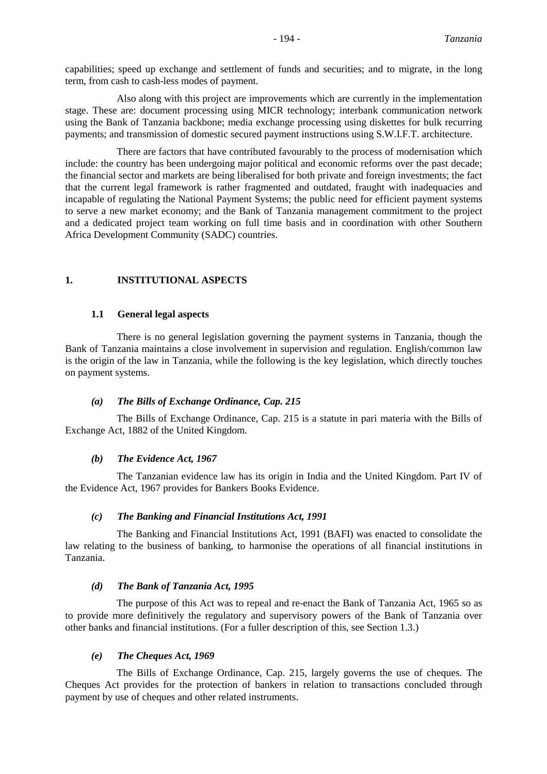capabilities; speed up exchange and settlement of funds and securities; and to migrate, in the long term, from cash to cash-less modes of payment.

Also along with this project are improvements which are currently in the implementation stage. These are: document processing using MICR technology; interbank communication network using the Bank of Tanzania backbone; media exchange processing using diskettes for bulk recurring payments; and transmission of domestic secured payment instructions using S.W.I.F.T. architecture.

There are factors that have contributed favourably to the process of modernisation which include: the country has been undergoing major political and economic reforms over the past decade; the financial sector and markets are being liberalised for both private and foreign investments; the fact that the current legal framework is rather fragmented and outdated, fraught with inadequacies and incapable of regulating the National Payment Systems; the public need for efficient payment systems to serve a new market economy; and the Bank of Tanzania management commitment to the project and a dedicated project team working on full time basis and in coordination with other Southern Africa Development Community (SADC) countries.

### **1. INSTITUTIONAL ASPECTS**

#### **1.1 General legal aspects**

There is no general legislation governing the payment systems in Tanzania, though the Bank of Tanzania maintains a close involvement in supervision and regulation. English/common law is the origin of the law in Tanzania, while the following is the key legislation, which directly touches on payment systems.

#### *(a) The Bills of Exchange Ordinance, Cap. 215*

The Bills of Exchange Ordinance, Cap. 215 is a statute in pari materia with the Bills of Exchange Act, 1882 of the United Kingdom.

#### *(b) The Evidence Act, 1967*

The Tanzanian evidence law has its origin in India and the United Kingdom. Part IV of the Evidence Act, 1967 provides for Bankers Books Evidence.

#### *(c) The Banking and Financial Institutions Act, 1991*

The Banking and Financial Institutions Act, 1991 (BAFI) was enacted to consolidate the law relating to the business of banking, to harmonise the operations of all financial institutions in Tanzania.

#### *(d) The Bank of Tanzania Act, 1995*

The purpose of this Act was to repeal and re-enact the Bank of Tanzania Act, 1965 so as to provide more definitively the regulatory and supervisory powers of the Bank of Tanzania over other banks and financial institutions. (For a fuller description of this, see Section 1.3.)

### *(e) The Cheques Act, 1969*

The Bills of Exchange Ordinance, Cap. 215, largely governs the use of cheques. The Cheques Act provides for the protection of bankers in relation to transactions concluded through payment by use of cheques and other related instruments.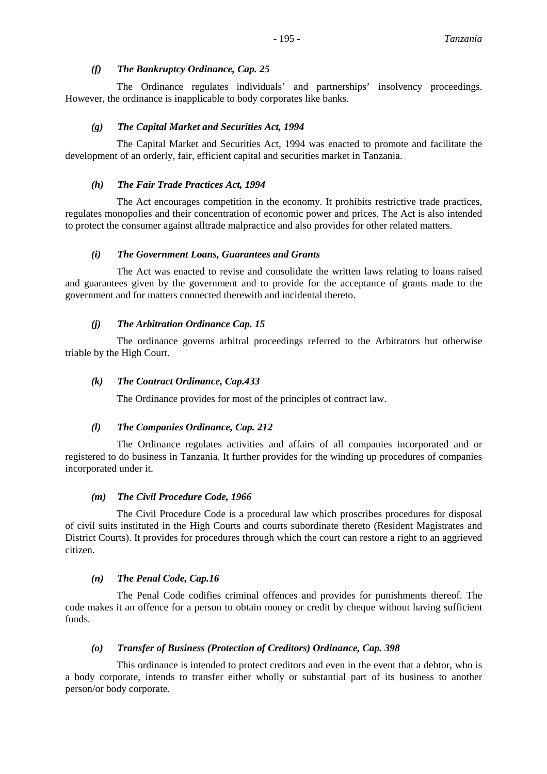### *(f) The Bankruptcy Ordinance, Cap. 25*

The Ordinance regulates individuals' and partnerships' insolvency proceedings. However, the ordinance is inapplicable to body corporates like banks.

### *(g) The Capital Market and Securities Act, 1994*

The Capital Market and Securities Act, 1994 was enacted to promote and facilitate the development of an orderly, fair, efficient capital and securities market in Tanzania.

### *(h) The Fair Trade Practices Act, 1994*

The Act encourages competition in the economy. It prohibits restrictive trade practices, regulates monopolies and their concentration of economic power and prices. The Act is also intended to protect the consumer against alltrade malpractice and also provides for other related matters.

### *(i) The Government Loans, Guarantees and Grants*

The Act was enacted to revise and consolidate the written laws relating to loans raised and guarantees given by the government and to provide for the acceptance of grants made to the government and for matters connected therewith and incidental thereto.

### *(j) The Arbitration Ordinance Cap. 15*

The ordinance governs arbitral proceedings referred to the Arbitrators but otherwise triable by the High Court.

### *(k) The Contract Ordinance, Cap.433*

The Ordinance provides for most of the principles of contract law.

### *(l) The Companies Ordinance, Cap. 212*

The Ordinance regulates activities and affairs of all companies incorporated and or registered to do business in Tanzania. It further provides for the winding up procedures of companies incorporated under it.

### *(m) The Civil Procedure Code, 1966*

The Civil Procedure Code is a procedural law which proscribes procedures for disposal of civil suits instituted in the High Courts and courts subordinate thereto (Resident Magistrates and District Courts). It provides for procedures through which the court can restore a right to an aggrieved citizen.

### *(n) The Penal Code, Cap.16*

The Penal Code codifies criminal offences and provides for punishments thereof. The code makes it an offence for a person to obtain money or credit by cheque without having sufficient funds.

### *(o) Transfer of Business (Protection of Creditors) Ordinance, Cap. 398*

This ordinance is intended to protect creditors and even in the event that a debtor, who is a body corporate, intends to transfer either wholly or substantial part of its business to another person/or body corporate.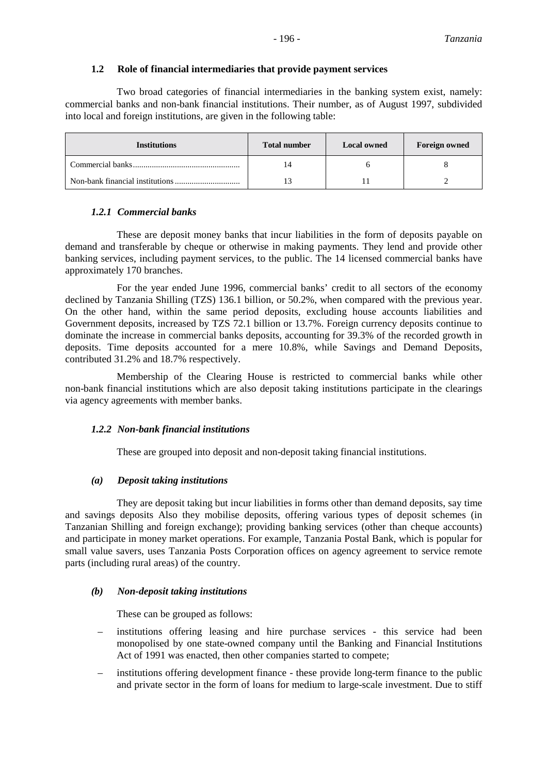### **1.2 Role of financial intermediaries that provide payment services**

Two broad categories of financial intermediaries in the banking system exist, namely: commercial banks and non-bank financial institutions. Their number, as of August 1997, subdivided into local and foreign institutions, are given in the following table:

| <b>Institutions</b> | <b>Total number</b> | <b>Local owned</b> | <b>Foreign owned</b> |
|---------------------|---------------------|--------------------|----------------------|
|                     |                     |                    |                      |
|                     |                     |                    |                      |

# *1.2.1 Commercial banks*

These are deposit money banks that incur liabilities in the form of deposits payable on demand and transferable by cheque or otherwise in making payments. They lend and provide other banking services, including payment services, to the public. The 14 licensed commercial banks have approximately 170 branches.

For the year ended June 1996, commercial banks' credit to all sectors of the economy declined by Tanzania Shilling (TZS) 136.1 billion, or 50.2%, when compared with the previous year. On the other hand, within the same period deposits, excluding house accounts liabilities and Government deposits, increased by TZS 72.1 billion or 13.7%. Foreign currency deposits continue to dominate the increase in commercial banks deposits, accounting for 39.3% of the recorded growth in deposits. Time deposits accounted for a mere 10.8%, while Savings and Demand Deposits, contributed 31.2% and 18.7% respectively.

Membership of the Clearing House is restricted to commercial banks while other non-bank financial institutions which are also deposit taking institutions participate in the clearings via agency agreements with member banks.

### *1.2.2 Non-bank financial institutions*

These are grouped into deposit and non-deposit taking financial institutions.

# *(a) Deposit taking institutions*

They are deposit taking but incur liabilities in forms other than demand deposits, say time and savings deposits Also they mobilise deposits, offering various types of deposit schemes (in Tanzanian Shilling and foreign exchange); providing banking services (other than cheque accounts) and participate in money market operations. For example, Tanzania Postal Bank, which is popular for small value savers, uses Tanzania Posts Corporation offices on agency agreement to service remote parts (including rural areas) of the country.

### *(b) Non-deposit taking institutions*

These can be grouped as follows:

- institutions offering leasing and hire purchase services this service had been monopolised by one state-owned company until the Banking and Financial Institutions Act of 1991 was enacted, then other companies started to compete;
- institutions offering development finance these provide long-term finance to the public and private sector in the form of loans for medium to large-scale investment. Due to stiff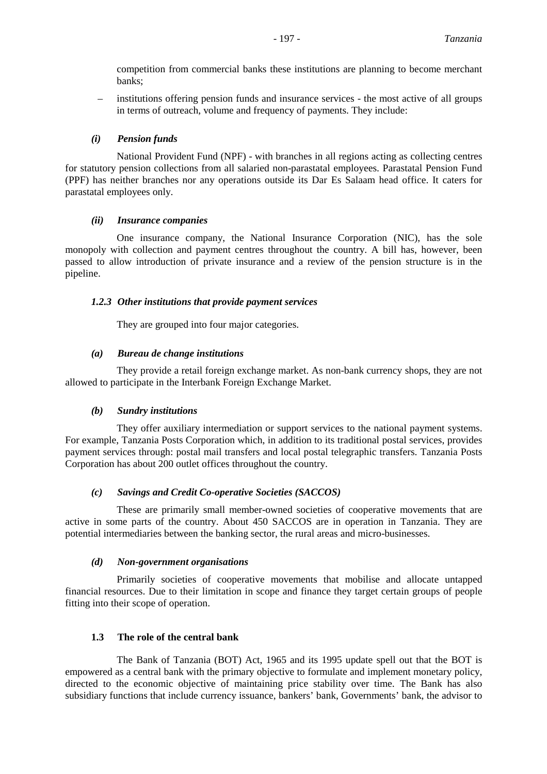competition from commercial banks these institutions are planning to become merchant banks;

– institutions offering pension funds and insurance services - the most active of all groups in terms of outreach, volume and frequency of payments. They include:

### *(i) Pension funds*

National Provident Fund (NPF) - with branches in all regions acting as collecting centres for statutory pension collections from all salaried non-parastatal employees. Parastatal Pension Fund (PPF) has neither branches nor any operations outside its Dar Es Salaam head office. It caters for parastatal employees only.

### *(ii) Insurance companies*

One insurance company, the National Insurance Corporation (NIC), has the sole monopoly with collection and payment centres throughout the country. A bill has, however, been passed to allow introduction of private insurance and a review of the pension structure is in the pipeline.

### *1.2.3 Other institutions that provide payment services*

They are grouped into four major categories.

### *(a) Bureau de change institutions*

They provide a retail foreign exchange market. As non-bank currency shops, they are not allowed to participate in the Interbank Foreign Exchange Market.

### *(b) Sundry institutions*

They offer auxiliary intermediation or support services to the national payment systems. For example, Tanzania Posts Corporation which, in addition to its traditional postal services, provides payment services through: postal mail transfers and local postal telegraphic transfers. Tanzania Posts Corporation has about 200 outlet offices throughout the country.

### *(c) Savings and Credit Co-operative Societies (SACCOS)*

These are primarily small member-owned societies of cooperative movements that are active in some parts of the country. About 450 SACCOS are in operation in Tanzania. They are potential intermediaries between the banking sector, the rural areas and micro-businesses.

### *(d) Non-government organisations*

Primarily societies of cooperative movements that mobilise and allocate untapped financial resources. Due to their limitation in scope and finance they target certain groups of people fitting into their scope of operation.

# **1.3 The role of the central bank**

The Bank of Tanzania (BOT) Act, 1965 and its 1995 update spell out that the BOT is empowered as a central bank with the primary objective to formulate and implement monetary policy, directed to the economic objective of maintaining price stability over time. The Bank has also subsidiary functions that include currency issuance, bankers' bank, Governments' bank, the advisor to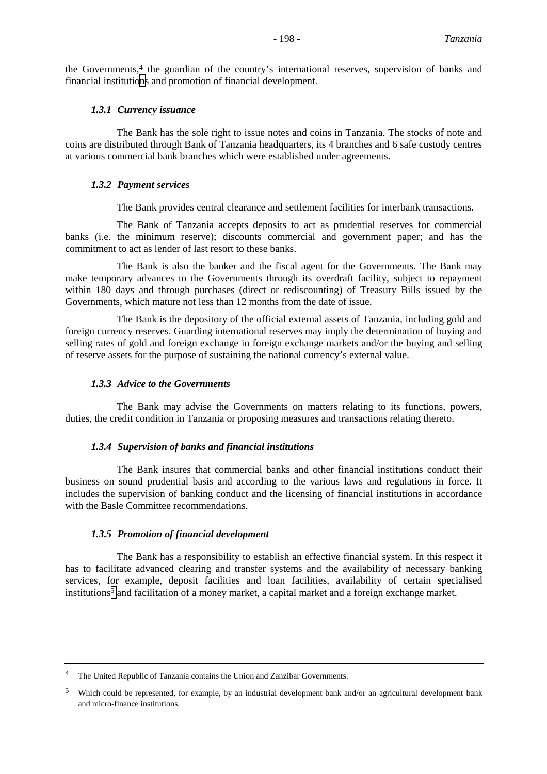the Governments,  $4$  the guardian of the country's international reserves, supervision of banks and financial institutions and promotion of financial development.

#### *1.3.1 Currency issuance*

The Bank has the sole right to issue notes and coins in Tanzania. The stocks of note and coins are distributed through Bank of Tanzania headquarters, its 4 branches and 6 safe custody centres at various commercial bank branches which were established under agreements.

#### *1.3.2 Payment services*

The Bank provides central clearance and settlement facilities for interbank transactions.

The Bank of Tanzania accepts deposits to act as prudential reserves for commercial banks (i.e. the minimum reserve); discounts commercial and government paper; and has the commitment to act as lender of last resort to these banks.

The Bank is also the banker and the fiscal agent for the Governments. The Bank may make temporary advances to the Governments through its overdraft facility, subject to repayment within 180 days and through purchases (direct or rediscounting) of Treasury Bills issued by the Governments, which mature not less than 12 months from the date of issue.

The Bank is the depository of the official external assets of Tanzania, including gold and foreign currency reserves. Guarding international reserves may imply the determination of buying and selling rates of gold and foreign exchange in foreign exchange markets and/or the buying and selling of reserve assets for the purpose of sustaining the national currency's external value.

#### *1.3.3 Advice to the Governments*

The Bank may advise the Governments on matters relating to its functions, powers, duties, the credit condition in Tanzania or proposing measures and transactions relating thereto.

#### *1.3.4 Supervision of banks and financial institutions*

The Bank insures that commercial banks and other financial institutions conduct their business on sound prudential basis and according to the various laws and regulations in force. It includes the supervision of banking conduct and the licensing of financial institutions in accordance with the Basle Committee recommendations.

#### *1.3.5 Promotion of financial development*

The Bank has a responsibility to establish an effective financial system. In this respect it has to facilitate advanced clearing and transfer systems and the availability of necessary banking services, for example, deposit facilities and loan facilities, availability of certain specialised institutions<sup>5</sup> and facilitation of a money market, a capital market and a foreign exchange market.

<sup>&</sup>lt;sup>4</sup> The United Republic of Tanzania contains the Union and Zanzibar Governments.

<sup>5</sup> Which could be represented, for example, by an industrial development bank and/or an agricultural development bank and micro-finance institutions.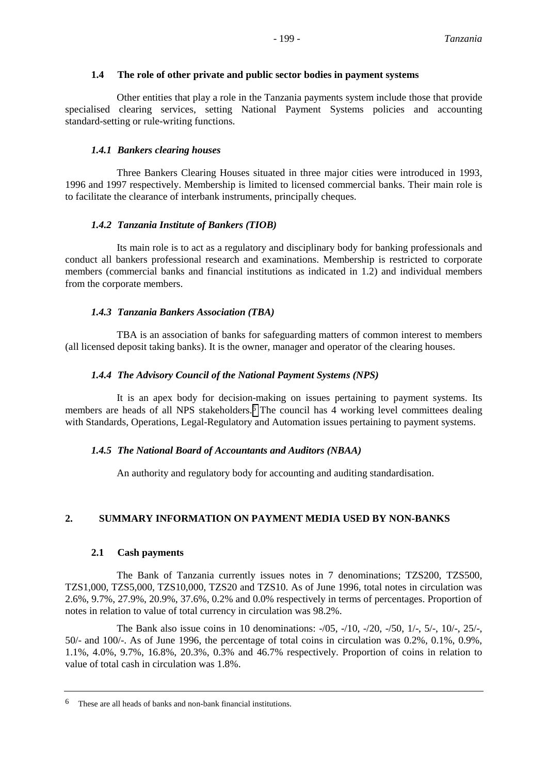#### **1.4 The role of other private and public sector bodies in payment systems**

Other entities that play a role in the Tanzania payments system include those that provide specialised clearing services, setting National Payment Systems policies and accounting standard-setting or rule-writing functions.

### *1.4.1 Bankers clearing houses*

Three Bankers Clearing Houses situated in three major cities were introduced in 1993, 1996 and 1997 respectively. Membership is limited to licensed commercial banks. Their main role is to facilitate the clearance of interbank instruments, principally cheques.

### *1.4.2 Tanzania Institute of Bankers (TIOB)*

Its main role is to act as a regulatory and disciplinary body for banking professionals and conduct all bankers professional research and examinations. Membership is restricted to corporate members (commercial banks and financial institutions as indicated in 1.2) and individual members from the corporate members.

### *1.4.3 Tanzania Bankers Association (TBA)*

TBA is an association of banks for safeguarding matters of common interest to members (all licensed deposit taking banks). It is the owner, manager and operator of the clearing houses.

### *1.4.4 The Advisory Council of the National Payment Systems (NPS)*

It is an apex body for decision-making on issues pertaining to payment systems. Its members are heads of all NPS stakeholders.<sup>6</sup> The council has 4 working level committees dealing with Standards, Operations, Legal-Regulatory and Automation issues pertaining to payment systems.

### *1.4.5 The National Board of Accountants and Auditors (NBAA)*

An authority and regulatory body for accounting and auditing standardisation.

# **2. SUMMARY INFORMATION ON PAYMENT MEDIA USED BY NON-BANKS**

### **2.1 Cash payments**

The Bank of Tanzania currently issues notes in 7 denominations; TZS200, TZS500, TZS1,000, TZS5,000, TZS10,000, TZS20 and TZS10. As of June 1996, total notes in circulation was 2.6%, 9.7%, 27.9%, 20.9%, 37.6%, 0.2% and 0.0% respectively in terms of percentages. Proportion of notes in relation to value of total currency in circulation was 98.2%.

The Bank also issue coins in 10 denominations: -/05, -/10, -/20, -/50, 1/-, 5/-, 10/-, 25/-, 50/- and 100/-. As of June 1996, the percentage of total coins in circulation was 0.2%, 0.1%, 0.9%, 1.1%, 4.0%, 9.7%, 16.8%, 20.3%, 0.3% and 46.7% respectively. Proportion of coins in relation to value of total cash in circulation was 1.8%.

<sup>6</sup> These are all heads of banks and non-bank financial institutions.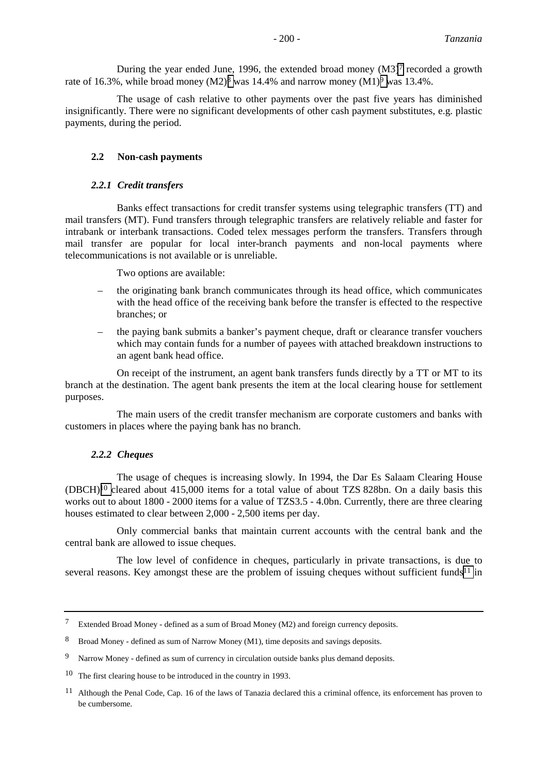During the year ended June, 1996, the extended broad money  $(M3)^7$  recorded a growth rate of 16.3%, while broad money  $(M2)^8$  was 14.4% and narrow money  $(M1)^9$  was 13.4%.

The usage of cash relative to other payments over the past five years has diminished insignificantly. There were no significant developments of other cash payment substitutes, e.g. plastic payments, during the period.

#### **2.2 Non-cash payments**

#### *2.2.1 Credit transfers*

Banks effect transactions for credit transfer systems using telegraphic transfers (TT) and mail transfers (MT). Fund transfers through telegraphic transfers are relatively reliable and faster for intrabank or interbank transactions. Coded telex messages perform the transfers. Transfers through mail transfer are popular for local inter-branch payments and non-local payments where telecommunications is not available or is unreliable.

Two options are available:

- the originating bank branch communicates through its head office, which communicates with the head office of the receiving bank before the transfer is effected to the respective branches; or
- the paying bank submits a banker's payment cheque, draft or clearance transfer vouchers which may contain funds for a number of payees with attached breakdown instructions to an agent bank head office.

On receipt of the instrument, an agent bank transfers funds directly by a TT or MT to its branch at the destination. The agent bank presents the item at the local clearing house for settlement purposes.

The main users of the credit transfer mechanism are corporate customers and banks with customers in places where the paying bank has no branch.

#### *2.2.2 Cheques*

The usage of cheques is increasing slowly. In 1994, the Dar Es Salaam Clearing House (DBCH)10 cleared about 415,000 items for a total value of about TZS 828bn. On a daily basis this works out to about 1800 - 2000 items for a value of TZS3.5 - 4.0bn. Currently, there are three clearing houses estimated to clear between 2,000 - 2,500 items per day.

Only commercial banks that maintain current accounts with the central bank and the central bank are allowed to issue cheques.

The low level of confidence in cheques, particularly in private transactions, is due to several reasons. Key amongst these are the problem of issuing cheques without sufficient funds<sup>11</sup> in

<sup>7</sup> Extended Broad Money - defined as a sum of Broad Money (M2) and foreign currency deposits.

<sup>8</sup> Broad Money - defined as sum of Narrow Money (M1), time deposits and savings deposits.

<sup>&</sup>lt;sup>9</sup> Narrow Money - defined as sum of currency in circulation outside banks plus demand deposits.

<sup>10</sup> The first clearing house to be introduced in the country in 1993.

<sup>&</sup>lt;sup>11</sup> Although the Penal Code, Cap. 16 of the laws of Tanazia declared this a criminal offence, its enforcement has proven to be cumbersome.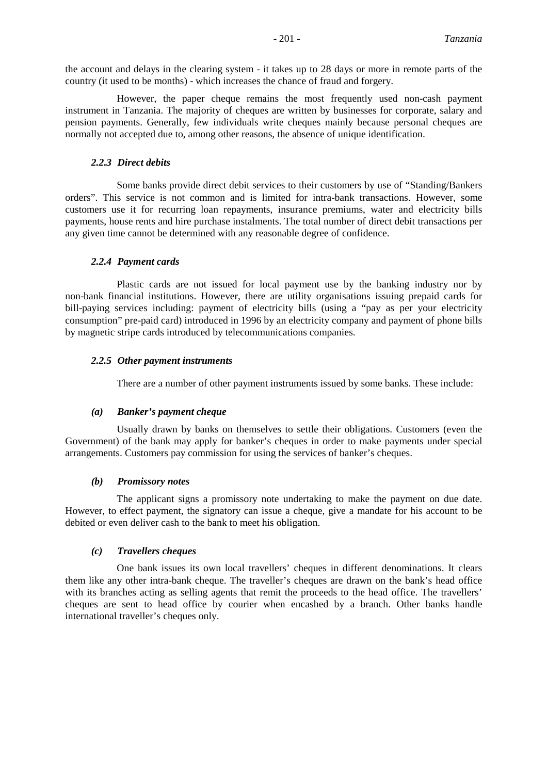the account and delays in the clearing system - it takes up to 28 days or more in remote parts of the country (it used to be months) - which increases the chance of fraud and forgery.

However, the paper cheque remains the most frequently used non-cash payment instrument in Tanzania. The majority of cheques are written by businesses for corporate, salary and pension payments. Generally, few individuals write cheques mainly because personal cheques are normally not accepted due to, among other reasons, the absence of unique identification.

#### *2.2.3 Direct debits*

Some banks provide direct debit services to their customers by use of "Standing/Bankers orders". This service is not common and is limited for intra-bank transactions. However, some customers use it for recurring loan repayments, insurance premiums, water and electricity bills payments, house rents and hire purchase instalments. The total number of direct debit transactions per any given time cannot be determined with any reasonable degree of confidence.

#### *2.2.4 Payment cards*

Plastic cards are not issued for local payment use by the banking industry nor by non-bank financial institutions. However, there are utility organisations issuing prepaid cards for bill-paying services including: payment of electricity bills (using a "pay as per your electricity consumption" pre-paid card) introduced in 1996 by an electricity company and payment of phone bills by magnetic stripe cards introduced by telecommunications companies.

#### *2.2.5 Other payment instruments*

There are a number of other payment instruments issued by some banks. These include:

### *(a) Banker's payment cheque*

Usually drawn by banks on themselves to settle their obligations. Customers (even the Government) of the bank may apply for banker's cheques in order to make payments under special arrangements. Customers pay commission for using the services of banker's cheques.

#### *(b) Promissory notes*

The applicant signs a promissory note undertaking to make the payment on due date. However, to effect payment, the signatory can issue a cheque, give a mandate for his account to be debited or even deliver cash to the bank to meet his obligation.

#### *(c) Travellers cheques*

One bank issues its own local travellers' cheques in different denominations. It clears them like any other intra-bank cheque. The traveller's cheques are drawn on the bank's head office with its branches acting as selling agents that remit the proceeds to the head office. The travellers' cheques are sent to head office by courier when encashed by a branch. Other banks handle international traveller's cheques only.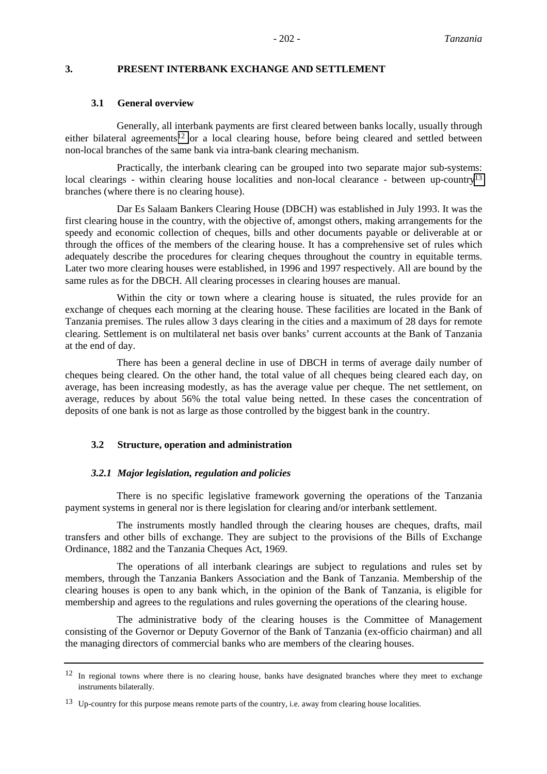### **3. PRESENT INTERBANK EXCHANGE AND SETTLEMENT**

#### **3.1 General overview**

Generally, all interbank payments are first cleared between banks locally, usually through either bilateral agreements<sup>12</sup> or a local clearing house, before being cleared and settled between non-local branches of the same bank via intra-bank clearing mechanism.

Practically, the interbank clearing can be grouped into two separate major sub-systems: local clearings - within clearing house localities and non-local clearance - between up-country<sup>13</sup> branches (where there is no clearing house).

Dar Es Salaam Bankers Clearing House (DBCH) was established in July 1993. It was the first clearing house in the country, with the objective of, amongst others, making arrangements for the speedy and economic collection of cheques, bills and other documents payable or deliverable at or through the offices of the members of the clearing house. It has a comprehensive set of rules which adequately describe the procedures for clearing cheques throughout the country in equitable terms. Later two more clearing houses were established, in 1996 and 1997 respectively. All are bound by the same rules as for the DBCH. All clearing processes in clearing houses are manual.

Within the city or town where a clearing house is situated, the rules provide for an exchange of cheques each morning at the clearing house. These facilities are located in the Bank of Tanzania premises. The rules allow 3 days clearing in the cities and a maximum of 28 days for remote clearing. Settlement is on multilateral net basis over banks' current accounts at the Bank of Tanzania at the end of day.

There has been a general decline in use of DBCH in terms of average daily number of cheques being cleared. On the other hand, the total value of all cheques being cleared each day, on average, has been increasing modestly, as has the average value per cheque. The net settlement, on average, reduces by about 56% the total value being netted. In these cases the concentration of deposits of one bank is not as large as those controlled by the biggest bank in the country.

#### **3.2 Structure, operation and administration**

### *3.2.1 Major legislation, regulation and policies*

There is no specific legislative framework governing the operations of the Tanzania payment systems in general nor is there legislation for clearing and/or interbank settlement.

The instruments mostly handled through the clearing houses are cheques, drafts, mail transfers and other bills of exchange. They are subject to the provisions of the Bills of Exchange Ordinance, 1882 and the Tanzania Cheques Act, 1969.

The operations of all interbank clearings are subject to regulations and rules set by members, through the Tanzania Bankers Association and the Bank of Tanzania. Membership of the clearing houses is open to any bank which, in the opinion of the Bank of Tanzania, is eligible for membership and agrees to the regulations and rules governing the operations of the clearing house.

The administrative body of the clearing houses is the Committee of Management consisting of the Governor or Deputy Governor of the Bank of Tanzania (ex-officio chairman) and all the managing directors of commercial banks who are members of the clearing houses.

<sup>&</sup>lt;sup>12</sup> In regional towns where there is no clearing house, banks have designated branches where they meet to exchange instruments bilaterally.

<sup>&</sup>lt;sup>13</sup> Up-country for this purpose means remote parts of the country, i.e. away from clearing house localities.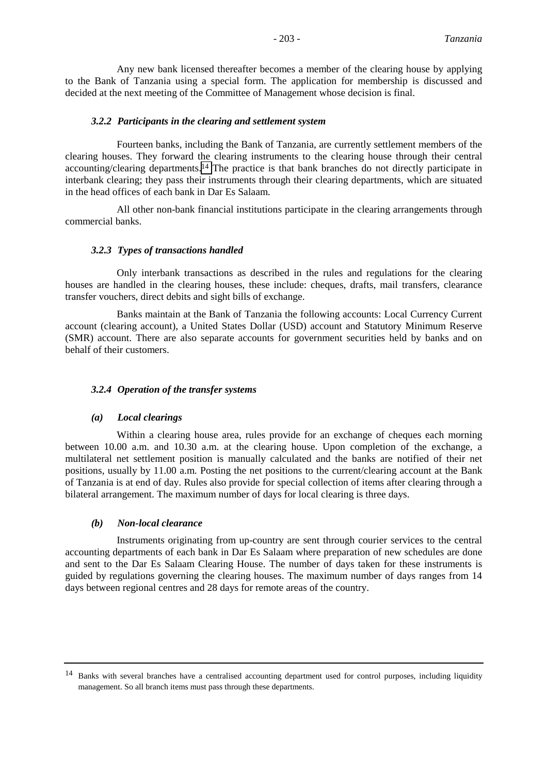Any new bank licensed thereafter becomes a member of the clearing house by applying to the Bank of Tanzania using a special form. The application for membership is discussed and decided at the next meeting of the Committee of Management whose decision is final.

#### *3.2.2 Participants in the clearing and settlement system*

Fourteen banks, including the Bank of Tanzania, are currently settlement members of the clearing houses. They forward the clearing instruments to the clearing house through their central accounting/clearing departments.14 The practice is that bank branches do not directly participate in interbank clearing; they pass their instruments through their clearing departments, which are situated in the head offices of each bank in Dar Es Salaam.

All other non-bank financial institutions participate in the clearing arrangements through commercial banks.

#### *3.2.3 Types of transactions handled*

Only interbank transactions as described in the rules and regulations for the clearing houses are handled in the clearing houses, these include: cheques, drafts, mail transfers, clearance transfer vouchers, direct debits and sight bills of exchange.

Banks maintain at the Bank of Tanzania the following accounts: Local Currency Current account (clearing account), a United States Dollar (USD) account and Statutory Minimum Reserve (SMR) account. There are also separate accounts for government securities held by banks and on behalf of their customers.

#### *3.2.4 Operation of the transfer systems*

#### *(a) Local clearings*

Within a clearing house area, rules provide for an exchange of cheques each morning between 10.00 a.m. and 10.30 a.m. at the clearing house. Upon completion of the exchange, a multilateral net settlement position is manually calculated and the banks are notified of their net positions, usually by 11.00 a.m. Posting the net positions to the current/clearing account at the Bank of Tanzania is at end of day. Rules also provide for special collection of items after clearing through a bilateral arrangement. The maximum number of days for local clearing is three days.

#### *(b) Non-local clearance*

Instruments originating from up-country are sent through courier services to the central accounting departments of each bank in Dar Es Salaam where preparation of new schedules are done and sent to the Dar Es Salaam Clearing House. The number of days taken for these instruments is guided by regulations governing the clearing houses. The maximum number of days ranges from 14 days between regional centres and 28 days for remote areas of the country.

<sup>&</sup>lt;sup>14</sup> Banks with several branches have a centralised accounting department used for control purposes, including liquidity management. So all branch items must pass through these departments.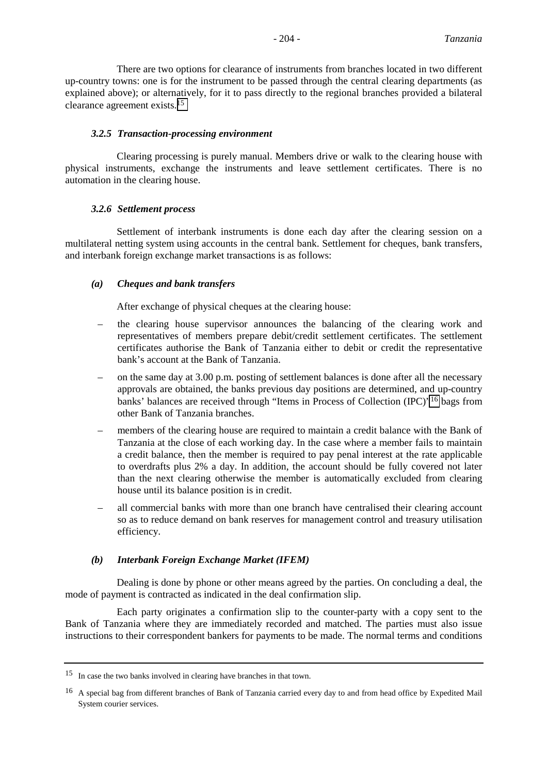There are two options for clearance of instruments from branches located in two different up-country towns: one is for the instrument to be passed through the central clearing departments (as explained above); or alternatively, for it to pass directly to the regional branches provided a bilateral clearance agreement exists.15

#### *3.2.5 Transaction-processing environment*

Clearing processing is purely manual. Members drive or walk to the clearing house with physical instruments, exchange the instruments and leave settlement certificates. There is no automation in the clearing house.

#### *3.2.6 Settlement process*

Settlement of interbank instruments is done each day after the clearing session on a multilateral netting system using accounts in the central bank. Settlement for cheques, bank transfers, and interbank foreign exchange market transactions is as follows:

### *(a) Cheques and bank transfers*

After exchange of physical cheques at the clearing house:

- the clearing house supervisor announces the balancing of the clearing work and representatives of members prepare debit/credit settlement certificates. The settlement certificates authorise the Bank of Tanzania either to debit or credit the representative bank's account at the Bank of Tanzania.
- on the same day at 3.00 p.m. posting of settlement balances is done after all the necessary approvals are obtained, the banks previous day positions are determined, and up-country banks' balances are received through "Items in Process of Collection (IPC)"16 bags from other Bank of Tanzania branches.
- members of the clearing house are required to maintain a credit balance with the Bank of Tanzania at the close of each working day. In the case where a member fails to maintain a credit balance, then the member is required to pay penal interest at the rate applicable to overdrafts plus 2% a day. In addition, the account should be fully covered not later than the next clearing otherwise the member is automatically excluded from clearing house until its balance position is in credit.
- all commercial banks with more than one branch have centralised their clearing account so as to reduce demand on bank reserves for management control and treasury utilisation efficiency.

#### *(b) Interbank Foreign Exchange Market (IFEM)*

Dealing is done by phone or other means agreed by the parties. On concluding a deal, the mode of payment is contracted as indicated in the deal confirmation slip.

Each party originates a confirmation slip to the counter-party with a copy sent to the Bank of Tanzania where they are immediately recorded and matched. The parties must also issue instructions to their correspondent bankers for payments to be made. The normal terms and conditions

<sup>&</sup>lt;sup>15</sup> In case the two banks involved in clearing have branches in that town.

<sup>16</sup> A special bag from different branches of Bank of Tanzania carried every day to and from head office by Expedited Mail System courier services.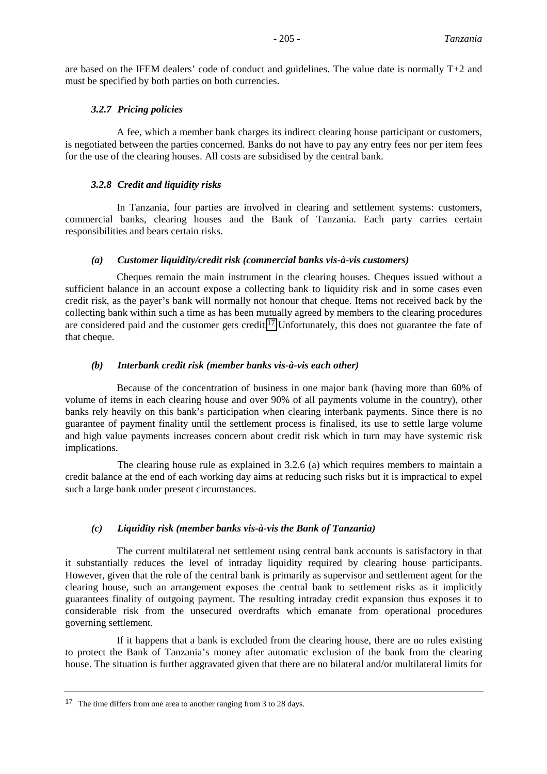are based on the IFEM dealers' code of conduct and guidelines. The value date is normally T+2 and must be specified by both parties on both currencies.

### *3.2.7 Pricing policies*

A fee, which a member bank charges its indirect clearing house participant or customers, is negotiated between the parties concerned. Banks do not have to pay any entry fees nor per item fees for the use of the clearing houses. All costs are subsidised by the central bank.

### *3.2.8 Credit and liquidity risks*

In Tanzania, four parties are involved in clearing and settlement systems: customers, commercial banks, clearing houses and the Bank of Tanzania. Each party carries certain responsibilities and bears certain risks.

### *(a) Customer liquidity/credit risk (commercial banks vis-à-vis customers)*

Cheques remain the main instrument in the clearing houses. Cheques issued without a sufficient balance in an account expose a collecting bank to liquidity risk and in some cases even credit risk, as the payer's bank will normally not honour that cheque. Items not received back by the collecting bank within such a time as has been mutually agreed by members to the clearing procedures are considered paid and the customer gets credit.<sup>17</sup> Unfortunately, this does not guarantee the fate of that cheque.

### *(b) Interbank credit risk (member banks vis-à-vis each other)*

Because of the concentration of business in one major bank (having more than 60% of volume of items in each clearing house and over 90% of all payments volume in the country), other banks rely heavily on this bank's participation when clearing interbank payments. Since there is no guarantee of payment finality until the settlement process is finalised, its use to settle large volume and high value payments increases concern about credit risk which in turn may have systemic risk implications.

The clearing house rule as explained in 3.2.6 (a) which requires members to maintain a credit balance at the end of each working day aims at reducing such risks but it is impractical to expel such a large bank under present circumstances.

# *(c) Liquidity risk (member banks vis-à-vis the Bank of Tanzania)*

The current multilateral net settlement using central bank accounts is satisfactory in that it substantially reduces the level of intraday liquidity required by clearing house participants. However, given that the role of the central bank is primarily as supervisor and settlement agent for the clearing house, such an arrangement exposes the central bank to settlement risks as it implicitly guarantees finality of outgoing payment. The resulting intraday credit expansion thus exposes it to considerable risk from the unsecured overdrafts which emanate from operational procedures governing settlement.

If it happens that a bank is excluded from the clearing house, there are no rules existing to protect the Bank of Tanzania's money after automatic exclusion of the bank from the clearing house. The situation is further aggravated given that there are no bilateral and/or multilateral limits for

<sup>&</sup>lt;sup>17</sup> The time differs from one area to another ranging from 3 to 28 days.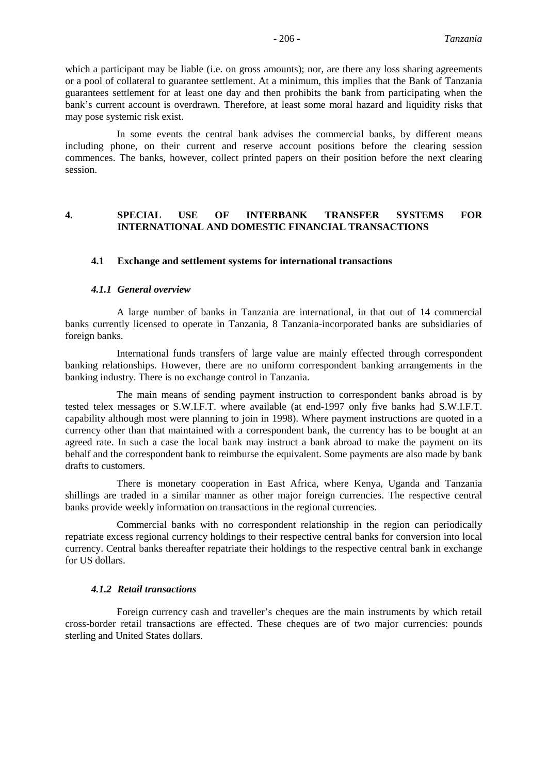In some events the central bank advises the commercial banks, by different means including phone, on their current and reserve account positions before the clearing session commences. The banks, however, collect printed papers on their position before the next clearing session.

### **4. SPECIAL USE OF INTERBANK TRANSFER SYSTEMS FOR INTERNATIONAL AND DOMESTIC FINANCIAL TRANSACTIONS**

#### **4.1 Exchange and settlement systems for international transactions**

#### *4.1.1 General overview*

A large number of banks in Tanzania are international, in that out of 14 commercial banks currently licensed to operate in Tanzania, 8 Tanzania-incorporated banks are subsidiaries of foreign banks.

International funds transfers of large value are mainly effected through correspondent banking relationships. However, there are no uniform correspondent banking arrangements in the banking industry. There is no exchange control in Tanzania.

The main means of sending payment instruction to correspondent banks abroad is by tested telex messages or S.W.I.F.T. where available (at end-1997 only five banks had S.W.I.F.T. capability although most were planning to join in 1998). Where payment instructions are quoted in a currency other than that maintained with a correspondent bank, the currency has to be bought at an agreed rate. In such a case the local bank may instruct a bank abroad to make the payment on its behalf and the correspondent bank to reimburse the equivalent. Some payments are also made by bank drafts to customers.

There is monetary cooperation in East Africa, where Kenya, Uganda and Tanzania shillings are traded in a similar manner as other major foreign currencies. The respective central banks provide weekly information on transactions in the regional currencies.

Commercial banks with no correspondent relationship in the region can periodically repatriate excess regional currency holdings to their respective central banks for conversion into local currency. Central banks thereafter repatriate their holdings to the respective central bank in exchange for US dollars.

### *4.1.2 Retail transactions*

Foreign currency cash and traveller's cheques are the main instruments by which retail cross-border retail transactions are effected. These cheques are of two major currencies: pounds sterling and United States dollars.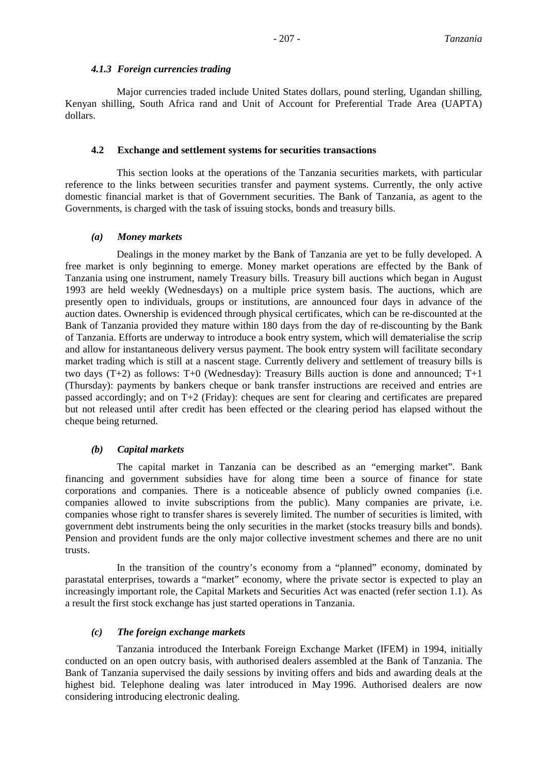#### *4.1.3 Foreign currencies trading*

Major currencies traded include United States dollars, pound sterling, Ugandan shilling, Kenyan shilling, South Africa rand and Unit of Account for Preferential Trade Area (UAPTA) dollars.

#### **4.2 Exchange and settlement systems for securities transactions**

This section looks at the operations of the Tanzania securities markets, with particular reference to the links between securities transfer and payment systems. Currently, the only active domestic financial market is that of Government securities. The Bank of Tanzania, as agent to the Governments, is charged with the task of issuing stocks, bonds and treasury bills.

### *(a) Money markets*

Dealings in the money market by the Bank of Tanzania are yet to be fully developed. A free market is only beginning to emerge. Money market operations are effected by the Bank of Tanzania using one instrument, namely Treasury bills. Treasury bill auctions which began in August 1993 are held weekly (Wednesdays) on a multiple price system basis. The auctions, which are presently open to individuals, groups or institutions, are announced four days in advance of the auction dates. Ownership is evidenced through physical certificates, which can be re-discounted at the Bank of Tanzania provided they mature within 180 days from the day of re-discounting by the Bank of Tanzania. Efforts are underway to introduce a book entry system, which will dematerialise the scrip and allow for instantaneous delivery versus payment. The book entry system will facilitate secondary market trading which is still at a nascent stage. Currently delivery and settlement of treasury bills is two days (T+2) as follows: T+0 (Wednesday): Treasury Bills auction is done and announced; T+1 (Thursday): payments by bankers cheque or bank transfer instructions are received and entries are passed accordingly; and on T+2 (Friday): cheques are sent for clearing and certificates are prepared but not released until after credit has been effected or the clearing period has elapsed without the cheque being returned.

### *(b) Capital markets*

The capital market in Tanzania can be described as an "emerging market". Bank financing and government subsidies have for along time been a source of finance for state corporations and companies. There is a noticeable absence of publicly owned companies (i.e. companies allowed to invite subscriptions from the public). Many companies are private, i.e. companies whose right to transfer shares is severely limited. The number of securities is limited, with government debt instruments being the only securities in the market (stocks treasury bills and bonds). Pension and provident funds are the only major collective investment schemes and there are no unit trusts.

In the transition of the country's economy from a "planned" economy, dominated by parastatal enterprises, towards a "market" economy, where the private sector is expected to play an increasingly important role, the Capital Markets and Securities Act was enacted (refer section 1.1). As a result the first stock exchange has just started operations in Tanzania.

### *(c) The foreign exchange markets*

Tanzania introduced the Interbank Foreign Exchange Market (IFEM) in 1994, initially conducted on an open outcry basis, with authorised dealers assembled at the Bank of Tanzania. The Bank of Tanzania supervised the daily sessions by inviting offers and bids and awarding deals at the highest bid. Telephone dealing was later introduced in May 1996. Authorised dealers are now considering introducing electronic dealing.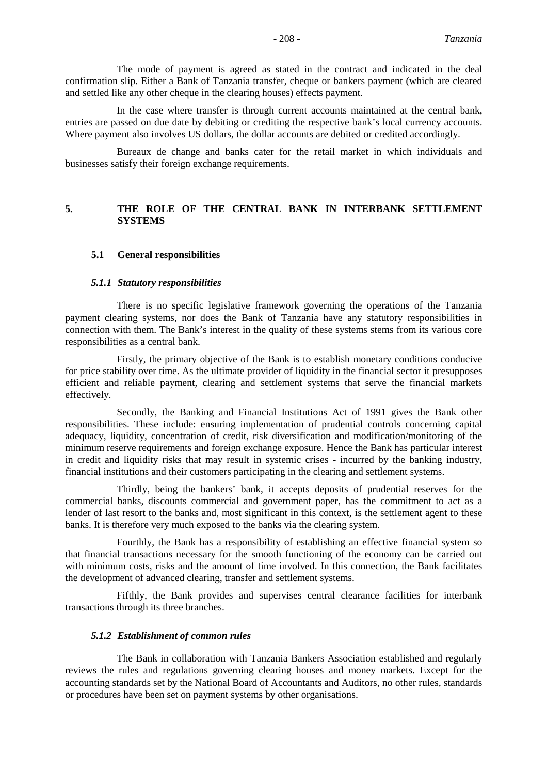The mode of payment is agreed as stated in the contract and indicated in the deal confirmation slip. Either a Bank of Tanzania transfer, cheque or bankers payment (which are cleared and settled like any other cheque in the clearing houses) effects payment.

In the case where transfer is through current accounts maintained at the central bank, entries are passed on due date by debiting or crediting the respective bank's local currency accounts. Where payment also involves US dollars, the dollar accounts are debited or credited accordingly.

Bureaux de change and banks cater for the retail market in which individuals and businesses satisfy their foreign exchange requirements.

### **5. THE ROLE OF THE CENTRAL BANK IN INTERBANK SETTLEMENT SYSTEMS**

#### **5.1 General responsibilities**

#### *5.1.1 Statutory responsibilities*

There is no specific legislative framework governing the operations of the Tanzania payment clearing systems, nor does the Bank of Tanzania have any statutory responsibilities in connection with them. The Bank's interest in the quality of these systems stems from its various core responsibilities as a central bank.

Firstly, the primary objective of the Bank is to establish monetary conditions conducive for price stability over time. As the ultimate provider of liquidity in the financial sector it presupposes efficient and reliable payment, clearing and settlement systems that serve the financial markets effectively.

Secondly, the Banking and Financial Institutions Act of 1991 gives the Bank other responsibilities. These include: ensuring implementation of prudential controls concerning capital adequacy, liquidity, concentration of credit, risk diversification and modification/monitoring of the minimum reserve requirements and foreign exchange exposure. Hence the Bank has particular interest in credit and liquidity risks that may result in systemic crises - incurred by the banking industry, financial institutions and their customers participating in the clearing and settlement systems.

Thirdly, being the bankers' bank, it accepts deposits of prudential reserves for the commercial banks, discounts commercial and government paper, has the commitment to act as a lender of last resort to the banks and, most significant in this context, is the settlement agent to these banks. It is therefore very much exposed to the banks via the clearing system.

Fourthly, the Bank has a responsibility of establishing an effective financial system so that financial transactions necessary for the smooth functioning of the economy can be carried out with minimum costs, risks and the amount of time involved. In this connection, the Bank facilitates the development of advanced clearing, transfer and settlement systems.

Fifthly, the Bank provides and supervises central clearance facilities for interbank transactions through its three branches.

#### *5.1.2 Establishment of common rules*

The Bank in collaboration with Tanzania Bankers Association established and regularly reviews the rules and regulations governing clearing houses and money markets. Except for the accounting standards set by the National Board of Accountants and Auditors, no other rules, standards or procedures have been set on payment systems by other organisations.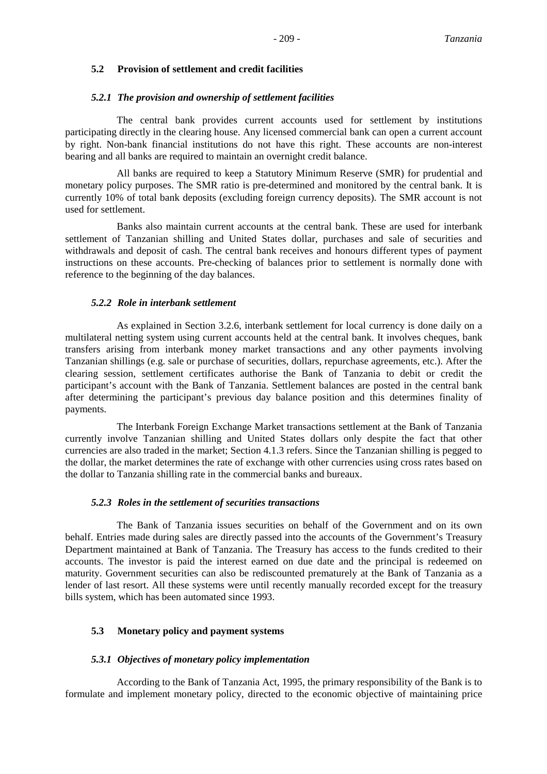#### **5.2 Provision of settlement and credit facilities**

#### *5.2.1 The provision and ownership of settlement facilities*

The central bank provides current accounts used for settlement by institutions participating directly in the clearing house. Any licensed commercial bank can open a current account by right. Non-bank financial institutions do not have this right. These accounts are non-interest bearing and all banks are required to maintain an overnight credit balance.

All banks are required to keep a Statutory Minimum Reserve (SMR) for prudential and monetary policy purposes. The SMR ratio is pre-determined and monitored by the central bank. It is currently 10% of total bank deposits (excluding foreign currency deposits). The SMR account is not used for settlement.

Banks also maintain current accounts at the central bank. These are used for interbank settlement of Tanzanian shilling and United States dollar, purchases and sale of securities and withdrawals and deposit of cash. The central bank receives and honours different types of payment instructions on these accounts. Pre-checking of balances prior to settlement is normally done with reference to the beginning of the day balances.

### *5.2.2 Role in interbank settlement*

As explained in Section 3.2.6, interbank settlement for local currency is done daily on a multilateral netting system using current accounts held at the central bank. It involves cheques, bank transfers arising from interbank money market transactions and any other payments involving Tanzanian shillings (e.g. sale or purchase of securities, dollars, repurchase agreements, etc.). After the clearing session, settlement certificates authorise the Bank of Tanzania to debit or credit the participant's account with the Bank of Tanzania. Settlement balances are posted in the central bank after determining the participant's previous day balance position and this determines finality of payments.

The Interbank Foreign Exchange Market transactions settlement at the Bank of Tanzania currently involve Tanzanian shilling and United States dollars only despite the fact that other currencies are also traded in the market; Section 4.1.3 refers. Since the Tanzanian shilling is pegged to the dollar, the market determines the rate of exchange with other currencies using cross rates based on the dollar to Tanzania shilling rate in the commercial banks and bureaux.

#### *5.2.3 Roles in the settlement of securities transactions*

The Bank of Tanzania issues securities on behalf of the Government and on its own behalf. Entries made during sales are directly passed into the accounts of the Government's Treasury Department maintained at Bank of Tanzania. The Treasury has access to the funds credited to their accounts. The investor is paid the interest earned on due date and the principal is redeemed on maturity. Government securities can also be rediscounted prematurely at the Bank of Tanzania as a lender of last resort. All these systems were until recently manually recorded except for the treasury bills system, which has been automated since 1993.

### **5.3 Monetary policy and payment systems**

#### *5.3.1 Objectives of monetary policy implementation*

According to the Bank of Tanzania Act, 1995, the primary responsibility of the Bank is to formulate and implement monetary policy, directed to the economic objective of maintaining price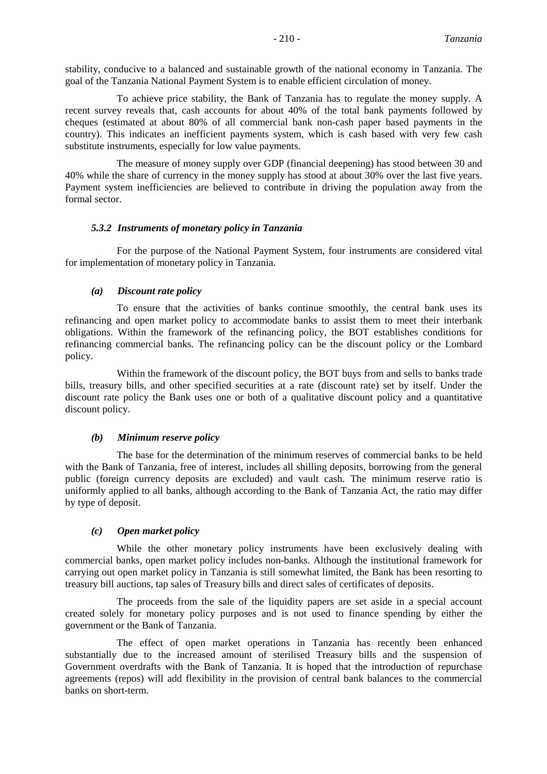stability, conducive to a balanced and sustainable growth of the national economy in Tanzania. The goal of the Tanzania National Payment System is to enable efficient circulation of money.

To achieve price stability, the Bank of Tanzania has to regulate the money supply. A recent survey reveals that, cash accounts for about 40% of the total bank payments followed by cheques (estimated at about 80% of all commercial bank non-cash paper based payments in the country). This indicates an inefficient payments system, which is cash based with very few cash substitute instruments, especially for low value payments.

The measure of money supply over GDP (financial deepening) has stood between 30 and 40% while the share of currency in the money supply has stood at about 30% over the last five years. Payment system inefficiencies are believed to contribute in driving the population away from the formal sector.

#### *5.3.2 Instruments of monetary policy in Tanzania*

For the purpose of the National Payment System, four instruments are considered vital for implementation of monetary policy in Tanzania.

#### *(a) Discount rate policy*

To ensure that the activities of banks continue smoothly, the central bank uses its refinancing and open market policy to accommodate banks to assist them to meet their interbank obligations. Within the framework of the refinancing policy, the BOT establishes conditions for refinancing commercial banks. The refinancing policy can be the discount policy or the Lombard policy.

Within the framework of the discount policy, the BOT buys from and sells to banks trade bills, treasury bills, and other specified securities at a rate (discount rate) set by itself. Under the discount rate policy the Bank uses one or both of a qualitative discount policy and a quantitative discount policy.

#### *(b) Minimum reserve policy*

The base for the determination of the minimum reserves of commercial banks to be held with the Bank of Tanzania, free of interest, includes all shilling deposits, borrowing from the general public (foreign currency deposits are excluded) and vault cash. The minimum reserve ratio is uniformly applied to all banks, although according to the Bank of Tanzania Act, the ratio may differ by type of deposit.

#### *(c) Open market policy*

While the other monetary policy instruments have been exclusively dealing with commercial banks, open market policy includes non-banks. Although the institutional framework for carrying out open market policy in Tanzania is still somewhat limited, the Bank has been resorting to treasury bill auctions, tap sales of Treasury bills and direct sales of certificates of deposits.

The proceeds from the sale of the liquidity papers are set aside in a special account created solely for monetary policy purposes and is not used to finance spending by either the government or the Bank of Tanzania.

The effect of open market operations in Tanzania has recently been enhanced substantially due to the increased amount of sterilised Treasury bills and the suspension of Government overdrafts with the Bank of Tanzania. It is hoped that the introduction of repurchase agreements (repos) will add flexibility in the provision of central bank balances to the commercial banks on short-term.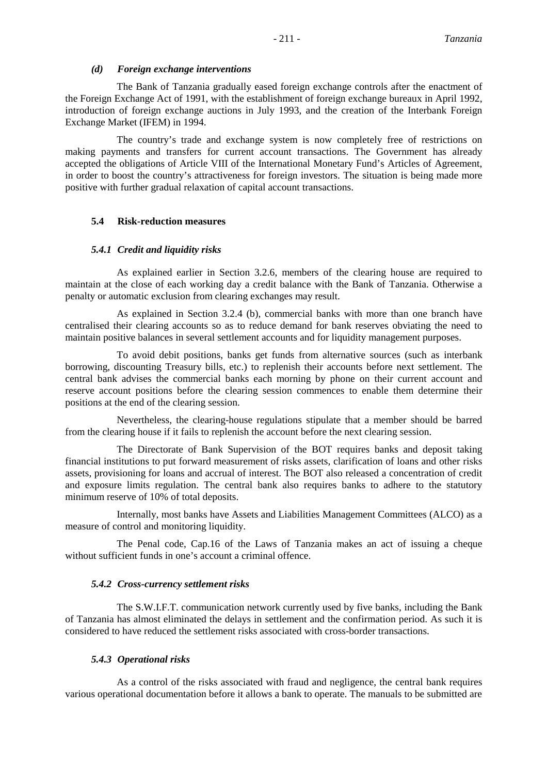#### *(d) Foreign exchange interventions*

The Bank of Tanzania gradually eased foreign exchange controls after the enactment of the Foreign Exchange Act of 1991, with the establishment of foreign exchange bureaux in April 1992, introduction of foreign exchange auctions in July 1993, and the creation of the Interbank Foreign Exchange Market (IFEM) in 1994.

The country's trade and exchange system is now completely free of restrictions on making payments and transfers for current account transactions. The Government has already accepted the obligations of Article VIII of the International Monetary Fund's Articles of Agreement, in order to boost the country's attractiveness for foreign investors. The situation is being made more positive with further gradual relaxation of capital account transactions.

### **5.4 Risk-reduction measures**

#### *5.4.1 Credit and liquidity risks*

As explained earlier in Section 3.2.6, members of the clearing house are required to maintain at the close of each working day a credit balance with the Bank of Tanzania. Otherwise a penalty or automatic exclusion from clearing exchanges may result.

As explained in Section 3.2.4 (b), commercial banks with more than one branch have centralised their clearing accounts so as to reduce demand for bank reserves obviating the need to maintain positive balances in several settlement accounts and for liquidity management purposes.

To avoid debit positions, banks get funds from alternative sources (such as interbank borrowing, discounting Treasury bills, etc.) to replenish their accounts before next settlement. The central bank advises the commercial banks each morning by phone on their current account and reserve account positions before the clearing session commences to enable them determine their positions at the end of the clearing session.

Nevertheless, the clearing-house regulations stipulate that a member should be barred from the clearing house if it fails to replenish the account before the next clearing session.

The Directorate of Bank Supervision of the BOT requires banks and deposit taking financial institutions to put forward measurement of risks assets, clarification of loans and other risks assets, provisioning for loans and accrual of interest. The BOT also released a concentration of credit and exposure limits regulation. The central bank also requires banks to adhere to the statutory minimum reserve of 10% of total deposits.

Internally, most banks have Assets and Liabilities Management Committees (ALCO) as a measure of control and monitoring liquidity.

The Penal code, Cap.16 of the Laws of Tanzania makes an act of issuing a cheque without sufficient funds in one's account a criminal offence.

#### *5.4.2 Cross-currency settlement risks*

The S.W.I.F.T. communication network currently used by five banks, including the Bank of Tanzania has almost eliminated the delays in settlement and the confirmation period. As such it is considered to have reduced the settlement risks associated with cross-border transactions.

#### *5.4.3 Operational risks*

As a control of the risks associated with fraud and negligence, the central bank requires various operational documentation before it allows a bank to operate. The manuals to be submitted are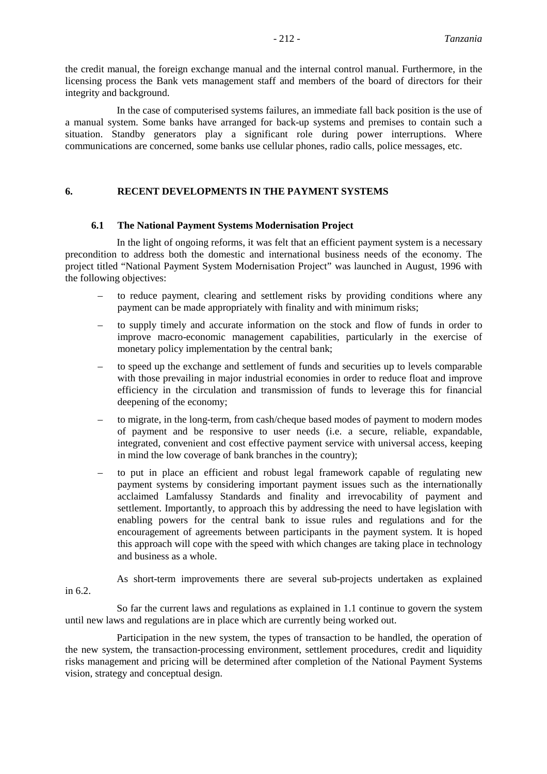the credit manual, the foreign exchange manual and the internal control manual. Furthermore, in the licensing process the Bank vets management staff and members of the board of directors for their integrity and background.

In the case of computerised systems failures, an immediate fall back position is the use of a manual system. Some banks have arranged for back-up systems and premises to contain such a situation. Standby generators play a significant role during power interruptions. Where communications are concerned, some banks use cellular phones, radio calls, police messages, etc.

#### **6. RECENT DEVELOPMENTS IN THE PAYMENT SYSTEMS**

#### **6.1 The National Payment Systems Modernisation Project**

In the light of ongoing reforms, it was felt that an efficient payment system is a necessary precondition to address both the domestic and international business needs of the economy. The project titled "National Payment System Modernisation Project" was launched in August, 1996 with the following objectives:

- to reduce payment, clearing and settlement risks by providing conditions where any payment can be made appropriately with finality and with minimum risks;
- to supply timely and accurate information on the stock and flow of funds in order to improve macro-economic management capabilities, particularly in the exercise of monetary policy implementation by the central bank;
- to speed up the exchange and settlement of funds and securities up to levels comparable with those prevailing in major industrial economies in order to reduce float and improve efficiency in the circulation and transmission of funds to leverage this for financial deepening of the economy;
- to migrate, in the long-term, from cash/cheque based modes of payment to modern modes of payment and be responsive to user needs (i.e. a secure, reliable, expandable, integrated, convenient and cost effective payment service with universal access, keeping in mind the low coverage of bank branches in the country);
- to put in place an efficient and robust legal framework capable of regulating new payment systems by considering important payment issues such as the internationally acclaimed Lamfalussy Standards and finality and irrevocability of payment and settlement. Importantly, to approach this by addressing the need to have legislation with enabling powers for the central bank to issue rules and regulations and for the encouragement of agreements between participants in the payment system. It is hoped this approach will cope with the speed with which changes are taking place in technology and business as a whole.
- As short-term improvements there are several sub-projects undertaken as explained in 6.2.

So far the current laws and regulations as explained in 1.1 continue to govern the system until new laws and regulations are in place which are currently being worked out.

Participation in the new system, the types of transaction to be handled, the operation of the new system, the transaction-processing environment, settlement procedures, credit and liquidity risks management and pricing will be determined after completion of the National Payment Systems vision, strategy and conceptual design.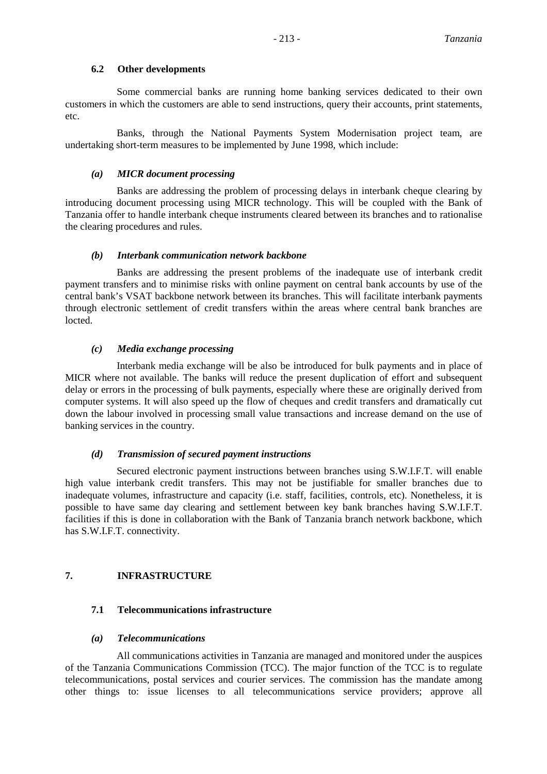### **6.2 Other developments**

Some commercial banks are running home banking services dedicated to their own customers in which the customers are able to send instructions, query their accounts, print statements, etc.

Banks, through the National Payments System Modernisation project team, are undertaking short-term measures to be implemented by June 1998, which include:

### *(a) MICR document processing*

Banks are addressing the problem of processing delays in interbank cheque clearing by introducing document processing using MICR technology. This will be coupled with the Bank of Tanzania offer to handle interbank cheque instruments cleared between its branches and to rationalise the clearing procedures and rules.

### *(b) Interbank communication network backbone*

Banks are addressing the present problems of the inadequate use of interbank credit payment transfers and to minimise risks with online payment on central bank accounts by use of the central bank's VSAT backbone network between its branches. This will facilitate interbank payments through electronic settlement of credit transfers within the areas where central bank branches are locted.

### *(c) Media exchange processing*

Interbank media exchange will be also be introduced for bulk payments and in place of MICR where not available. The banks will reduce the present duplication of effort and subsequent delay or errors in the processing of bulk payments, especially where these are originally derived from computer systems. It will also speed up the flow of cheques and credit transfers and dramatically cut down the labour involved in processing small value transactions and increase demand on the use of banking services in the country.

### *(d) Transmission of secured payment instructions*

Secured electronic payment instructions between branches using S.W.I.F.T. will enable high value interbank credit transfers. This may not be justifiable for smaller branches due to inadequate volumes, infrastructure and capacity (i.e. staff, facilities, controls, etc). Nonetheless, it is possible to have same day clearing and settlement between key bank branches having S.W.I.F.T. facilities if this is done in collaboration with the Bank of Tanzania branch network backbone, which has S.W.I.F.T. connectivity.

# **7. INFRASTRUCTURE**

# **7.1 Telecommunications infrastructure**

# *(a) Telecommunications*

All communications activities in Tanzania are managed and monitored under the auspices of the Tanzania Communications Commission (TCC). The major function of the TCC is to regulate telecommunications, postal services and courier services. The commission has the mandate among other things to: issue licenses to all telecommunications service providers; approve all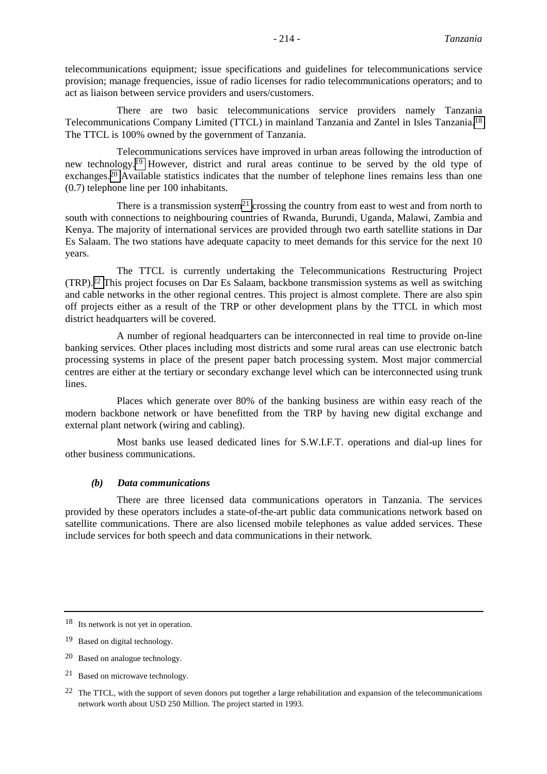telecommunications equipment; issue specifications and guidelines for telecommunications service provision; manage frequencies, issue of radio licenses for radio telecommunications operators; and to act as liaison between service providers and users/customers.

There are two basic telecommunications service providers namely Tanzania Telecommunications Company Limited (TTCL) in mainland Tanzania and Zantel in Isles Tanzania.18 The TTCL is 100% owned by the government of Tanzania.

Telecommunications services have improved in urban areas following the introduction of new technology.19 However, district and rural areas continue to be served by the old type of exchanges.<sup>20</sup> Available statistics indicates that the number of telephone lines remains less than one (0.7) telephone line per 100 inhabitants.

There is a transmission system<sup>21</sup> crossing the country from east to west and from north to south with connections to neighbouring countries of Rwanda, Burundi, Uganda, Malawi, Zambia and Kenya. The majority of international services are provided through two earth satellite stations in Dar Es Salaam. The two stations have adequate capacity to meet demands for this service for the next 10 years.

The TTCL is currently undertaking the Telecommunications Restructuring Project (TRP).22 This project focuses on Dar Es Salaam, backbone transmission systems as well as switching and cable networks in the other regional centres. This project is almost complete. There are also spin off projects either as a result of the TRP or other development plans by the TTCL in which most district headquarters will be covered.

A number of regional headquarters can be interconnected in real time to provide on-line banking services. Other places including most districts and some rural areas can use electronic batch processing systems in place of the present paper batch processing system. Most major commercial centres are either at the tertiary or secondary exchange level which can be interconnected using trunk lines.

Places which generate over 80% of the banking business are within easy reach of the modern backbone network or have benefitted from the TRP by having new digital exchange and external plant network (wiring and cabling).

Most banks use leased dedicated lines for S.W.I.F.T. operations and dial-up lines for other business communications.

### *(b) Data communications*

There are three licensed data communications operators in Tanzania. The services provided by these operators includes a state-of-the-art public data communications network based on satellite communications. There are also licensed mobile telephones as value added services. These include services for both speech and data communications in their network.

21 Based on microwave technology.

<sup>18</sup> Its network is not yet in operation.

<sup>19</sup> Based on digital technology.

<sup>20</sup> Based on analogue technology.

<sup>&</sup>lt;sup>22</sup> The TTCL, with the support of seven donors put together a large rehabilitation and expansion of the telecommunications network worth about USD 250 Million. The project started in 1993.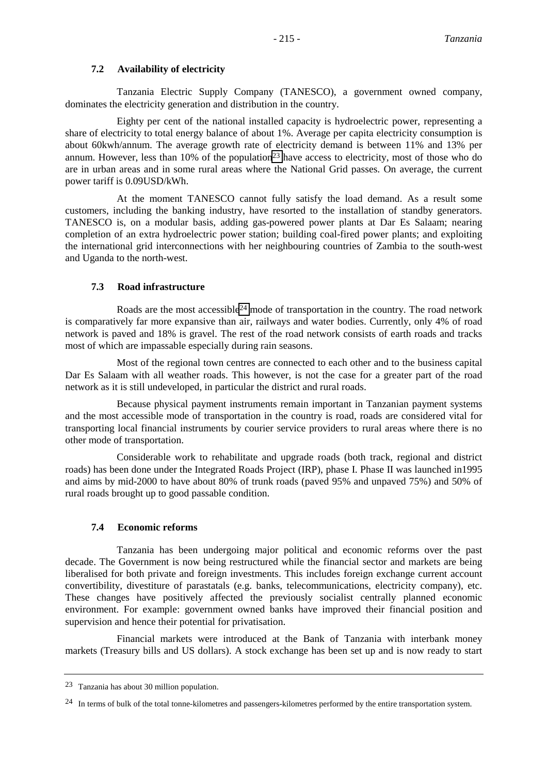### **7.2 Availability of electricity**

Tanzania Electric Supply Company (TANESCO), a government owned company, dominates the electricity generation and distribution in the country.

Eighty per cent of the national installed capacity is hydroelectric power, representing a share of electricity to total energy balance of about 1%. Average per capita electricity consumption is about 60kwh/annum. The average growth rate of electricity demand is between 11% and 13% per annum. However, less than 10% of the population<sup>23</sup> have access to electricity, most of those who do are in urban areas and in some rural areas where the National Grid passes. On average, the current power tariff is 0.09USD/kWh.

At the moment TANESCO cannot fully satisfy the load demand. As a result some customers, including the banking industry, have resorted to the installation of standby generators. TANESCO is, on a modular basis, adding gas-powered power plants at Dar Es Salaam; nearing completion of an extra hydroelectric power station; building coal-fired power plants; and exploiting the international grid interconnections with her neighbouring countries of Zambia to the south-west and Uganda to the north-west.

# **7.3 Road infrastructure**

Roads are the most accessible<sup>24</sup> mode of transportation in the country. The road network is comparatively far more expansive than air, railways and water bodies. Currently, only 4% of road network is paved and 18% is gravel. The rest of the road network consists of earth roads and tracks most of which are impassable especially during rain seasons.

Most of the regional town centres are connected to each other and to the business capital Dar Es Salaam with all weather roads. This however, is not the case for a greater part of the road network as it is still undeveloped, in particular the district and rural roads.

Because physical payment instruments remain important in Tanzanian payment systems and the most accessible mode of transportation in the country is road, roads are considered vital for transporting local financial instruments by courier service providers to rural areas where there is no other mode of transportation.

Considerable work to rehabilitate and upgrade roads (both track, regional and district roads) has been done under the Integrated Roads Project (IRP), phase I. Phase II was launched in1995 and aims by mid-2000 to have about 80% of trunk roads (paved 95% and unpaved 75%) and 50% of rural roads brought up to good passable condition.

# **7.4 Economic reforms**

Tanzania has been undergoing major political and economic reforms over the past decade. The Government is now being restructured while the financial sector and markets are being liberalised for both private and foreign investments. This includes foreign exchange current account convertibility, divestiture of parastatals (e.g. banks, telecommunications, electricity company), etc. These changes have positively affected the previously socialist centrally planned economic environment. For example: government owned banks have improved their financial position and supervision and hence their potential for privatisation.

Financial markets were introduced at the Bank of Tanzania with interbank money markets (Treasury bills and US dollars). A stock exchange has been set up and is now ready to start

<sup>23</sup> Tanzania has about 30 million population.

<sup>&</sup>lt;sup>24</sup> In terms of bulk of the total tonne-kilometres and passengers-kilometres performed by the entire transportation system.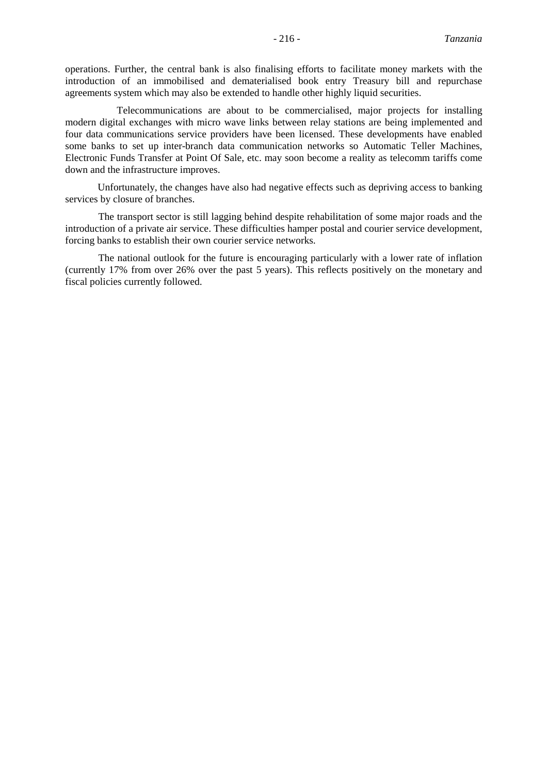operations. Further, the central bank is also finalising efforts to facilitate money markets with the introduction of an immobilised and dematerialised book entry Treasury bill and repurchase agreements system which may also be extended to handle other highly liquid securities.

Telecommunications are about to be commercialised, major projects for installing modern digital exchanges with micro wave links between relay stations are being implemented and four data communications service providers have been licensed. These developments have enabled some banks to set up inter-branch data communication networks so Automatic Teller Machines, Electronic Funds Transfer at Point Of Sale, etc. may soon become a reality as telecomm tariffs come down and the infrastructure improves.

Unfortunately, the changes have also had negative effects such as depriving access to banking services by closure of branches.

The transport sector is still lagging behind despite rehabilitation of some major roads and the introduction of a private air service. These difficulties hamper postal and courier service development, forcing banks to establish their own courier service networks.

The national outlook for the future is encouraging particularly with a lower rate of inflation (currently 17% from over 26% over the past 5 years). This reflects positively on the monetary and fiscal policies currently followed.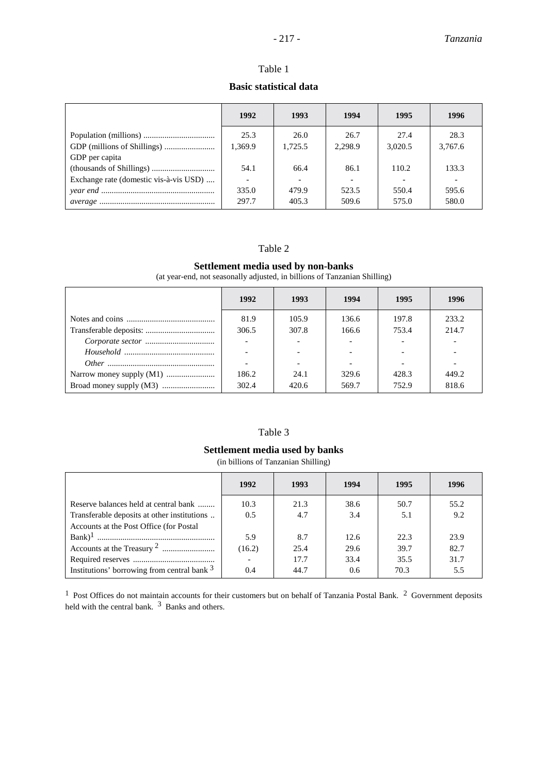# Table 1

### **Basic statistical data**

|                                        | 1992                     | 1993    | 1994    | 1995    | 1996    |
|----------------------------------------|--------------------------|---------|---------|---------|---------|
|                                        | 25.3                     | 26.0    | 26.7    | 27.4    | 28.3    |
|                                        | 1.369.9                  | 1,725.5 | 2.298.9 | 3.020.5 | 3.767.6 |
| GDP per capita                         |                          |         |         |         |         |
|                                        | 54.1                     | 66.4    | 86.1    | 110.2   | 133.3   |
| Exchange rate (domestic vis-à-vis USD) | $\overline{\phantom{a}}$ |         |         |         |         |
|                                        | 335.0                    | 479.9   | 523.5   | 550.4   | 595.6   |
|                                        | 297.7                    | 405.3   | 509.6   | 575.0   | 580.0   |

### Table 2

#### **Settlement media used by non-banks**

(at year-end, not seasonally adjusted, in billions of Tanzanian Shilling)

| 1992  | 1993  | 1994  | 1995  | 1996  |
|-------|-------|-------|-------|-------|
| 81.9  | 105.9 | 136.6 | 197.8 | 233.2 |
| 306.5 | 307.8 | 166.6 | 753.4 | 214.7 |
|       |       |       |       |       |
|       |       |       |       |       |
|       |       |       |       |       |
| 186.2 | 24.1  | 329.6 | 428.3 | 449.2 |
| 302.4 | 420.6 | 569.7 | 752.9 | 818.6 |

### Table 3

### **Settlement media used by banks**

(in billions of Tanzanian Shilling)

|                                             | 1992   | 1993 | 1994 | 1995 | 1996 |
|---------------------------------------------|--------|------|------|------|------|
| Reserve balances held at central bank       | 10.3   | 21.3 | 38.6 | 50.7 | 55.2 |
| Transferable deposits at other institutions | 0.5    | 4.7  | 3.4  | 5.1  | 9.2  |
| Accounts at the Post Office (for Postal     |        |      |      |      |      |
|                                             | 5.9    | 8.7  | 12.6 | 22.3 | 23.9 |
|                                             | (16.2) | 25.4 | 29.6 | 39.7 | 82.7 |
|                                             |        | 17.7 | 33.4 | 35.5 | 31.7 |
| Institutions' borrowing from central bank 3 | 0.4    | 44.7 | 0.6  | 70.3 | 5.5  |

 $1$  Post Offices do not maintain accounts for their customers but on behalf of Tanzania Postal Bank.  $2$  Government deposits held with the central bank.  $3$  Banks and others.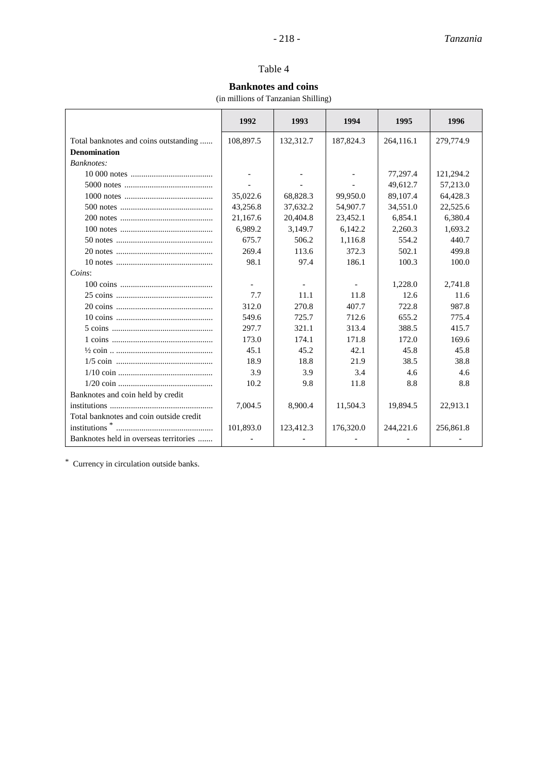### Table 4

# **Banknotes and coins**

(in millions of Tanzanian Shilling)

|                                         | 1992      | 1993      | 1994                     | 1995      | 1996      |
|-----------------------------------------|-----------|-----------|--------------------------|-----------|-----------|
| Total banknotes and coins outstanding   | 108,897.5 | 132,312.7 | 187,824.3                | 264,116.1 | 279,774.9 |
| <b>Denomination</b>                     |           |           |                          |           |           |
| Banknotes:                              |           |           |                          |           |           |
|                                         |           |           | $\overline{\phantom{a}}$ | 77,297.4  | 121,294.2 |
|                                         |           |           |                          | 49,612.7  | 57,213.0  |
|                                         | 35,022.6  | 68,828.3  | 99.950.0                 | 89,107.4  | 64,428.3  |
|                                         | 43,256.8  | 37,632.2  | 54,907.7                 | 34,551.0  | 22,525.6  |
|                                         | 21,167.6  | 20,404.8  | 23,452.1                 | 6.854.1   | 6,380.4   |
|                                         | 6,989.2   | 3,149.7   | 6,142.2                  | 2,260.3   | 1,693.2   |
|                                         | 675.7     | 506.2     | 1,116.8                  | 554.2     | 440.7     |
|                                         | 269.4     | 113.6     | 372.3                    | 502.1     | 499.8     |
|                                         | 98.1      | 97.4      | 186.1                    | 100.3     | 100.0     |
| Coins:                                  |           |           |                          |           |           |
|                                         |           |           |                          | 1,228.0   | 2,741.8   |
|                                         | 7.7       | 11.1      | 11.8                     | 12.6      | 11.6      |
|                                         | 312.0     | 270.8     | 407.7                    | 722.8     | 987.8     |
|                                         | 549.6     | 725.7     | 712.6                    | 655.2     | 775.4     |
|                                         | 297.7     | 321.1     | 313.4                    | 388.5     | 415.7     |
|                                         | 173.0     | 174.1     | 171.8                    | 172.0     | 169.6     |
|                                         | 45.1      | 45.2      | 42.1                     | 45.8      | 45.8      |
|                                         | 18.9      | 18.8      | 21.9                     | 38.5      | 38.8      |
|                                         | 3.9       | 3.9       | 3.4                      | 4.6       | 4.6       |
|                                         | 10.2      | 9.8       | 11.8                     | 8.8       | 8.8       |
| Banknotes and coin held by credit       |           |           |                          |           |           |
|                                         | 7,004.5   | 8,900.4   | 11,504.3                 | 19.894.5  | 22,913.1  |
| Total banknotes and coin outside credit |           |           |                          |           |           |
|                                         | 101,893.0 | 123,412.3 | 176,320.0                | 244,221.6 | 256,861.8 |
| Banknotes held in overseas territories  |           |           |                          |           |           |

\* Currency in circulation outside banks.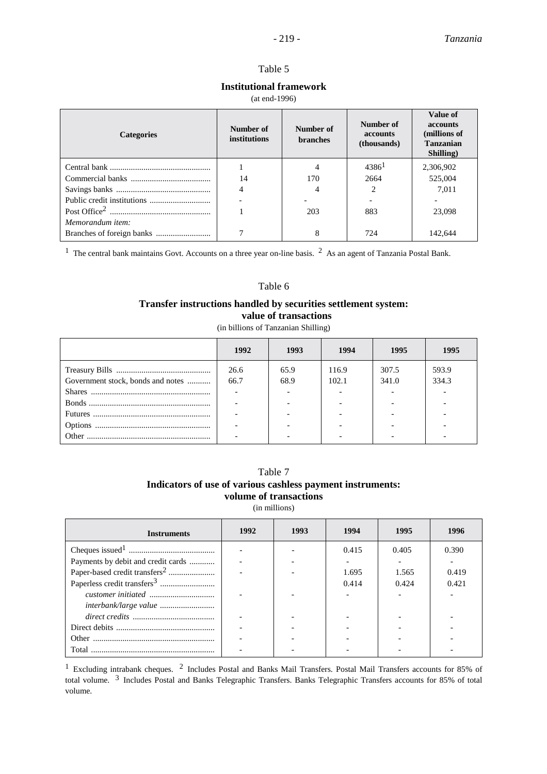### Table 5

### **Institutional framework**

#### (at end-1996)

| <b>Categories</b> | Number of<br>institutions | Number of<br><b>branches</b> | Number of<br>accounts<br>(thousands) | Value of<br><b>accounts</b><br>(millions of<br><b>Tanzanian</b><br>Shilling) |  |
|-------------------|---------------------------|------------------------------|--------------------------------------|------------------------------------------------------------------------------|--|
|                   |                           | 4                            | $4386^1$                             | 2,306,902                                                                    |  |
|                   | 14                        | 170                          | 2664                                 | 525,004                                                                      |  |
|                   | $\overline{4}$            |                              | $\mathfrak{D}$                       | 7.011                                                                        |  |
|                   |                           |                              |                                      |                                                                              |  |
|                   |                           | 203                          | 883                                  | 23,098                                                                       |  |
| Memorandum item:  |                           |                              |                                      |                                                                              |  |
|                   |                           | 8                            | 724                                  | 142,644                                                                      |  |

<sup>1</sup> The central bank maintains Govt. Accounts on a three year on-line basis. <sup>2</sup> As an agent of Tanzania Postal Bank.

#### Table 6

### **Transfer instructions handled by securities settlement system: value of transactions**

(in billions of Tanzanian Shilling)

|                                   | 1992 | 1993 | 1994  | 1995  | 1995  |
|-----------------------------------|------|------|-------|-------|-------|
|                                   | 26.6 | 65.9 | 116.9 | 307.5 | 593.9 |
| Government stock, bonds and notes | 66.7 | 68.9 | 102.1 | 341.0 | 334.3 |
|                                   |      |      |       |       |       |
|                                   |      |      |       |       |       |
|                                   |      |      |       |       |       |
|                                   |      |      |       |       |       |
|                                   |      |      |       |       |       |

# Table 7 **Indicators of use of various cashless payment instruments: volume of transactions**

(in millions)

| <b>Instruments</b>                        | 1992 | 1993 | 1994  | 1995  | 1996  |
|-------------------------------------------|------|------|-------|-------|-------|
|                                           |      |      | 0.415 | 0.405 | 0.390 |
| Payments by debit and credit cards        |      |      |       |       |       |
| Paper-based credit transfers <sup>2</sup> |      |      | 1.695 | 1.565 | 0.419 |
|                                           |      |      | 0.414 | 0.424 | 0.421 |
|                                           |      |      |       |       |       |
|                                           |      |      |       |       |       |
|                                           |      |      |       |       |       |
|                                           |      |      |       |       |       |
|                                           |      |      |       |       |       |
| Total                                     |      |      |       |       |       |

<sup>1</sup> Excluding intrabank cheques. <sup>2</sup> Includes Postal and Banks Mail Transfers. Postal Mail Transfers accounts for 85% of total volume. 3 Includes Postal and Banks Telegraphic Transfers. Banks Telegraphic Transfers accounts for 85% of total volume.